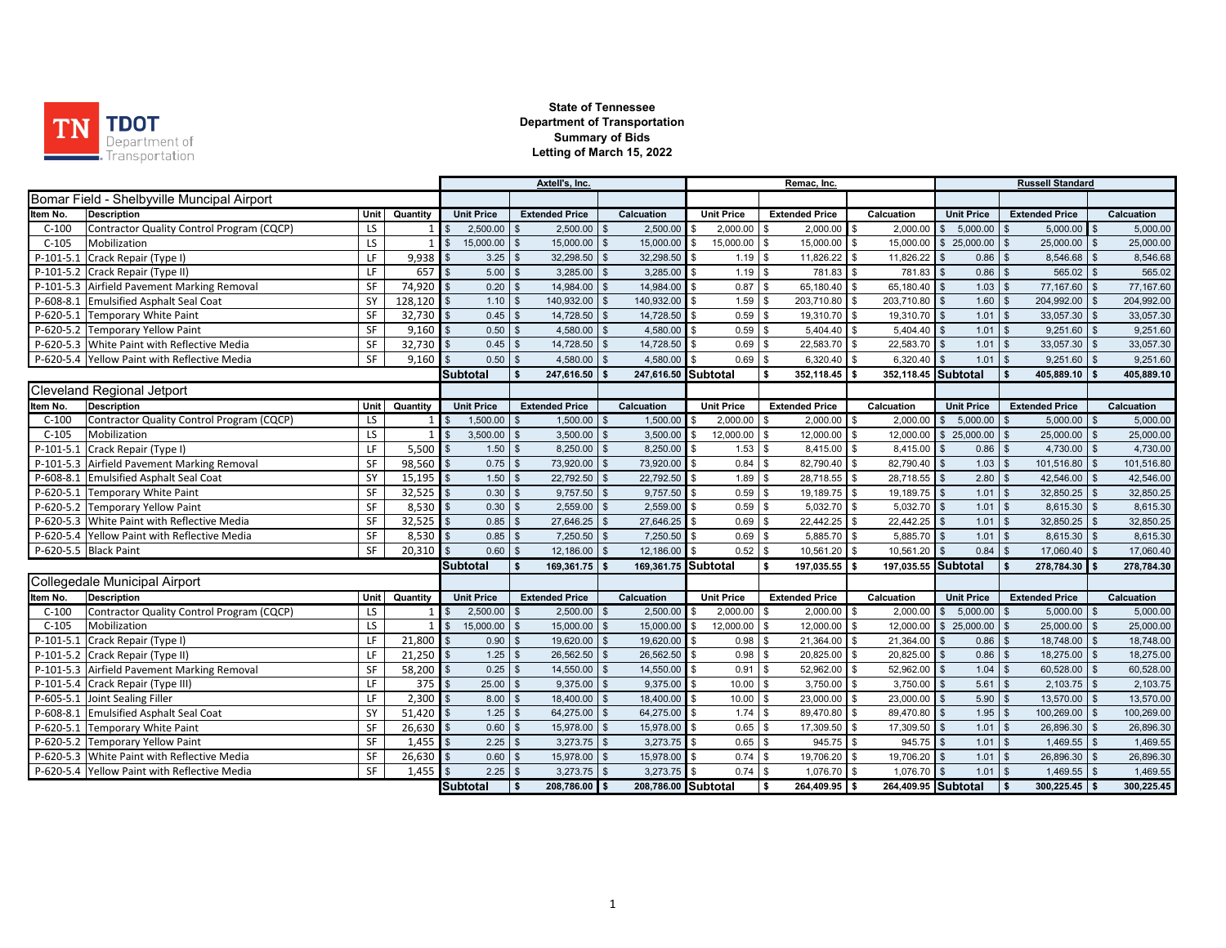

|             |                                              |      |                |                         | Axtell's, Inc. |                                 |                    |                     | Remac, Inc.                |                                     | <b>Russell Standard</b> |                     |                |                   |                                      |                    |            |
|-------------|----------------------------------------------|------|----------------|-------------------------|----------------|---------------------------------|--------------------|---------------------|----------------------------|-------------------------------------|-------------------------|---------------------|----------------|-------------------|--------------------------------------|--------------------|------------|
|             | Bomar Field - Shelbyville Muncipal Airport   |      |                |                         |                |                                 |                    |                     |                            |                                     |                         |                     |                |                   |                                      |                    |            |
| Item No.    | <b>Description</b>                           | Unit | Quantity       | <b>Unit Price</b>       |                | <b>Extended Price</b>           |                    | Calcuation          | <b>Unit Price</b>          | <b>Extended Price</b>               |                         | Calcuation          |                | <b>Unit Price</b> | <b>Extended Price</b>                |                    | Calcuation |
| $C-100$     | Contractor Quality Control Program (CQCP)    | LS   |                | 1 I S                   | $2,500.00$ \$  | 2,500.00                        | \$                 | $2,500.00$ \$       | 2,000.00                   | $2,000.00$ \$<br>\$                 |                         | 2,000.00            | $\sqrt{3}$     | 5,000.00          | 5,000.00<br>l \$                     | $\mathbf{s}$       | 5,000.00   |
| $C-105$     | Mobilization                                 | LS   | $\overline{1}$ |                         | 15,000.00      | 15,000.00<br>$\mathfrak{L}$     | $\mathfrak{L}$     | 15,000.00           | 15,000.00<br>$\sqrt{3}$    | 15,000.00<br>\$                     | \$                      | 15,000.00           | $\mathfrak s$  | 25,000.00         | 25,000.00                            |                    | 25,000.00  |
|             | P-101-5.1 Crack Repair (Type I)              | LF   | $9,938$ \$     |                         | 3.25           | 32,298.50<br>$\mathbb{S}$       | $\mathfrak{L}$     | 32,298.50 \$        | 1.19                       | \$<br>11,826.22 \$                  |                         | 11,826.22           |                | 0.86              | 8,546.68<br><b>S</b>                 | <b>S</b>           | 8,546.68   |
|             | P-101-5.2 Crack Repair (Type II)             | LF   | 657            |                         | 5.00           | 3,285.00<br>$\mathbf{s}$        | $\mathfrak{s}$     | $3,285.00$ \$       | 1.19                       | 781.83 \$<br>\$                     |                         | 781.83              |                | $0.86$ \$         | 565.02                               | $\mathbf{s}$       | 565.02     |
|             | P-101-5.3 Airfield Pavement Marking Removal  | SF   | $74,920$ \$    |                         | $0.20$ \$      | 14,984.00                       | \$                 | 14,984.00 \$        | 0.87                       | \$<br>65,180.40 \$                  |                         | 65,180.40 \$        |                | $1.03$ \$         | 77,167.60                            | $\mathbf{s}$       | 77,167.60  |
|             | P-608-8.1 Emulsified Asphalt Seal Coat       | SY   | 128,120        |                         | 1.10           | 140,932.00                      | $\mathfrak{L}$     | 140,932.00          | 1.59<br>$\sqrt{3}$         | \$<br>203,710.80 \$                 |                         | 203,710.80          |                | 1.60              | 204,992.00<br>l \$                   |                    | 204,992.00 |
|             | P-620-5.1 Temporary White Paint              | SF   | $32,730$ \$    |                         | $0.45$ \$      | 14,728.50                       | $\mathbf{\hat{s}}$ | 14,728.50 \$        | 0.59                       | $\mathfrak{s}$<br>19,310.70 \$      |                         | 19,310.70           |                | $1.01$ \$         | 33,057.30                            | $\mathbf{s}$       | 33,057.30  |
|             | P-620-5.2 Temporary Yellow Paint             | SF   | 9,160          |                         | 0.50           | 4,580.00                        | $\mathfrak{L}$     | 4,580.00            | 0.59<br>\$                 | $\mathfrak{L}$<br>5,404.40          | l \$                    | 5,404.40            |                | $1.01$            | 9,251.60<br>$\overline{\mathbf{s}}$  |                    | 9,251.60   |
|             | P-620-5.3 White Paint with Reflective Media  | SF   | $32,730$ \$    |                         | $0.45$ \$      | 14,728.50                       | $\mathbf{\hat{s}}$ | 14,728.50 \$        | 0.69                       | 22,583.70 \$<br>\$                  |                         | 22,583.70           |                | $1.01$            | 33,057.30<br>$\mathsf{I}$ s          |                    | 33,057.30  |
|             | P-620-5.4 Yellow Paint with Reflective Media | SF   | 9.160          |                         | 0.50           | 4,580.00<br>$\mathbf{s}$        | $\mathfrak{s}$     | 4,580.00            | 0.69<br>\$                 | \$<br>6,320.40                      | l \$                    | 6,320.40            |                | 1.01              | 9,251.60<br>$\overline{\mathbf{s}}$  |                    | 9,251.60   |
|             |                                              |      |                | Subtotal                |                | 247,616.50                      |                    | 247,616.50 Subtotal |                            | 352,118.45<br>\$                    | Ŝ.                      | 352,118.45 Subtotal |                |                   | 405,889.10                           |                    | 405,889.10 |
|             | <b>Cleveland Regional Jetport</b>            |      |                |                         |                |                                 |                    |                     |                            |                                     |                         |                     |                |                   |                                      |                    |            |
| Item No.    | <b>Description</b>                           | Unit | Quantity       | <b>Unit Price</b>       |                | <b>Extended Price</b>           |                    | Calcuation          | <b>Unit Price</b>          | <b>Extended Price</b>               |                         | Calcuation          |                | <b>Unit Price</b> | <b>Extended Price</b>                |                    | Calcuation |
| $C-100$     | Contractor Quality Control Program (CQCP)    | LS   | $\mathbf{1}$   |                         | 1,500.00       | 1,500.00                        |                    | 1,500.00            | 2,000.00                   | $2,000.00$ \$<br>\$.                |                         | 2,000.00            | \$             | 5,000.00          | 5,000.00                             |                    | 5,000.00   |
| $C-105$     | Mobilization                                 | LS   | $1$ $\sqrt{3}$ |                         | $3,500.00$ \$  | 3,500.00                        | $\mathfrak{s}$     | 3,500.00            | 12,000.00<br>$\sqrt{3}$    | $\sqrt{3}$<br>12,000.00 \$          |                         | 12,000.00           |                | \$25,000.00       | 25,000.00<br>$\overline{\mathbf{s}}$ | $\mathbb{S}$       | 25,000.00  |
| P-101-5.1   | Crack Repair (Type I)                        | LF   | 5,500          |                         | 1.50           | 8,250.00                        | $\mathfrak{s}$     | 8,250.00            | 1.53                       | \$<br>8,415.00                      | l \$                    | 8,415.00            |                | 0.86              | 4,730.00                             |                    | 4,730.00   |
|             | P-101-5.3 Airfield Pavement Marking Removal  | SF   | $98,560$ \$    |                         | 0.75           | 73,920.00                       |                    | 73,920.00           | 0.84<br>l \$               | 82,790.40 \$<br>\$                  |                         | 82,790.40           |                | 1.03              | 101,516.80<br><b>S</b>               |                    | 101,516.80 |
|             | P-608-8.1 Emulsified Asphalt Seal Coat       | SY   | 15,195         |                         | 1.50           | 22,792.50                       |                    | 22,792.50           | 1.89<br>\$                 | \$<br>28,718.55 \$                  |                         | 28,718.55           | \$             | 2.80              | 42,546.00<br>l \$                    |                    | 42,546.00  |
|             | P-620-5.1 Temporary White Paint              | SF   | $32,525$ \$    |                         | $0.30$ \$      | 9.757.50                        | $\mathsf{s}$       | $9,757.50$ \$       | 0.59                       | $\mathbb{S}$<br>19,189.75 \$        |                         | 19,189.75 \$        |                | $1.01$ \$         | 32,850.25 \$                         |                    | 32,850.25  |
|             | P-620-5.2 Temporary Yellow Paint             | SF   | 8,530          | $\sqrt{3}$              | 0.30           | 2,559.00<br>$\mathbf{\$}$       | $\mathfrak{L}$     | 2,559.00            | 0.59<br>$\mathbf{s}$       | $\mathbf{s}$<br>5,032.70 \$         |                         | 5,032.70            | l \$           | $1.01$            | 8,615.30<br>$\mathsf{I}$ \$          | $\mathfrak{L}$     | 8,615.30   |
|             | P-620-5.3 White Paint with Reflective Media  | SF   | 32,525         | $\mathsf{S}$            | 0.85           | 27,646.25<br>- \$               | \$                 | 27,646.25           | 0.69<br><b>S</b>           | 22,442.25 \$<br>\$                  |                         | 22,442.25           |                | $1.01$ \$         | 32,850.25                            | $\mathbf{\$}$      | 32,850.25  |
|             | P-620-5.4 Yellow Paint with Reflective Media | SF   | 8,530          |                         | 0.85           | 7,250.50<br>$\sqrt{s}$          | $\mathfrak{L}$     | 7,250.50            | 0.69<br>l \$               | \$<br>5,885.70 \$                   |                         | 5,885.70            |                | $1.01$            | 8,615.30<br>$\mathsf{I}$ s           | $\mathbf{\$}$      | 8,615.30   |
|             | P-620-5.5 Black Paint                        | SF   | $20,310$ \$    |                         | $0.60$ \ \$    | 12.186.00                       | $\mathbf{\hat{s}}$ | 12,186.00 \$        | 0.52                       | $\mathfrak s$<br>10,561.20 \$       |                         | 10.561.20           |                | 0.84              | 17,060.40<br>$\mathsf{I}$ s          |                    | 17,060.40  |
|             |                                              |      |                | <b>Subtotal</b>         |                | 169,361.75 \$                   |                    | 169,361.75 Subtotal |                            | 197,035.55 \$<br>\$                 |                         | 197,035.55 Subtotal |                |                   | 278,784.30<br><b>S</b>               |                    | 278,784.30 |
|             | Collegedale Municipal Airport                |      |                |                         |                |                                 |                    |                     |                            |                                     |                         |                     |                |                   |                                      |                    |            |
| Item No.    | <b>Description</b>                           | Unit | Quantity       | <b>Unit Price</b>       |                | <b>Extended Price</b>           |                    | Calcuation          | <b>Unit Price</b>          | <b>Extended Price</b>               |                         | Calcuation          |                | <b>Unit Price</b> | <b>Extended Price</b>                |                    | Calcuation |
| $C-100$     | Contractor Quality Control Program (CQCP)    | LS   | $1$ $\sqrt{s}$ |                         | 2,500.00       | 2,500.00                        |                    | 2,500.00            | 2,000.00                   | 2,000.00<br>$\mathfrak{L}$          |                         | 2,000.00            | $\mathfrak s$  | 5,000.00          | 5,000.00                             |                    | 5,000.00   |
| $C-105$     | Mobilization                                 | LS   | $\mathbf{1}$   | $\overline{\mathbf{S}}$ | 15,000.00      | 15,000.00<br>$\mathfrak{L}$     | $\mathfrak{L}$     | 15,000.00           | 12,000.00<br>\$            | \$<br>12,000.00 \$                  |                         | 12,000.00           |                | \$25,000.00       | 25,000.00                            | $\mathfrak{s}$     | 25,000.00  |
| $P-101-5.1$ | Crack Repair (Type I)                        | LF   | $21,800$ \$    |                         | 0.90           | 19,620.00<br>$\mathbf{s}$       | $\mathbf{s}$       | 19,620.00           | l \$<br>0.98               | \$<br>21,364.00 \$                  |                         | 21,364.00           |                | 0.86              | 18,748.00<br>l \$                    | $\sqrt{s}$         | 18,748.00  |
|             | P-101-5.2 Crack Repair (Type II)             | LF   | 21,250         |                         | 1.25           | 26,562.50<br>$\mathbb{S}$       | $\mathfrak{L}$     | 26,562.50           | 0.98<br>$\mathbf{s}$       | \$<br>20,825.00 \$                  |                         | 20,825.00           | $\mathfrak{L}$ | 0.86              | 18,275.00<br>$\mathsf{s}$            | $\mathbb{S}$       | 18,275.00  |
|             | P-101-5.3 Airfield Pavement Marking Removal  | SF   | 58,200         |                         | 0.25           | 14,550.00                       |                    | 14,550.00           | 0.91<br>$\mathbf{\hat{S}}$ | 52.962.00<br>\$                     | \$                      | 52,962.00           |                | 1.04              | 60,528.00                            |                    | 60,528.00  |
|             | P-101-5.4 Crack Repair (Type III)            | LF.  | 375            |                         | 25.00          | 9,375.00                        | $\mathfrak{L}$     | 9,375.00            | 10.00<br>$\mathbf{s}$      | $\mathbf{\hat{s}}$<br>$3,750.00$ \$ |                         | 3,750.00            |                | 5.61              | 2,103.75                             | $\mathfrak{L}$     | 2,103.75   |
|             | P-605-5.1 Joint Sealing Filler               | LF   | 2,300          |                         | 8.00           | 18,400.00<br>$\mathbf{\hat{z}}$ | $\mathfrak{s}$     | 18,400.00           | \$<br>10.00                | 23,000.00 \$<br>\$                  |                         | 23,000.00           |                | 5.90              | 13,570.00<br><b>S</b>                | $\mathbf{\hat{s}}$ | 13,570.00  |
|             | P-608-8.1 Emulsified Asphalt Seal Coat       | SY   | $51,420$ \$    |                         | 1.25           | 64,275.00<br>$\mathbb{S}$       | $\mathfrak{s}$     | 64,275.00 \$        | 1.74                       | \$<br>89,470.80 \$                  |                         | 89,470.80           | \$             | 1.95              | 100,269.00<br>l \$                   | $\sqrt{3}$         | 100,269.00 |
|             | P-620-5.1 Temporary White Paint              | SF   | $26,630$ \$    |                         | 0.60           | 15,978.00                       | $\mathbf{s}$       | 15,978.00 \$        | 0.65                       | 17,309.50 \$<br>\$                  |                         | 17,309.50           |                | 1.01              | 26,896.30 \$<br>l \$                 |                    | 26,896.30  |
|             | P-620-5.2 Temporary Yellow Paint             | SF   | $1,455$ \$     |                         | $2.25$ \$      | $3,273.75$ \$                   |                    | $3,273.75$ \$       | $0.65$ \$                  | $945.75$ \$                         |                         | 945.75              | $\mathbf{s}$   | $1.01$            | $1,469.55$ \$<br>$\mathsf{I}$ s      |                    | 1,469.55   |
|             | P-620-5.3 White Paint with Reflective Media  | SF   | $26,630$ \$    |                         | 0.60           | 15,978.00<br>l \$               | $\mathfrak{s}$     | 15,978.00 \$        | 0.74                       | \$<br>19,706.20 \$                  |                         | 19,706.20           |                | $1.01$ \$         | 26,896.30                            |                    | 26,896.30  |
|             | P-620-5.4 Yellow Paint with Reflective Media | SF   | 1.455          |                         | $2.25$ \$      | 3,273.75                        | $\mathbf{\hat{s}}$ | $3,273.75$ \$       | 0.74                       | \$<br>$1,076.70$ \$                 |                         | 1,076.70            |                | $1.01$ \$         | 1,469.55                             | .5                 | 1,469.55   |
|             |                                              |      |                | Subtotal                |                | 208.786.00 \$<br>l S            |                    | 208,786.00 Subtotal |                            | \$<br>264.409.95 \$                 |                         | 264,409.95 Subtotal |                |                   | $300.225.45$ \$<br>l s               |                    | 300,225.45 |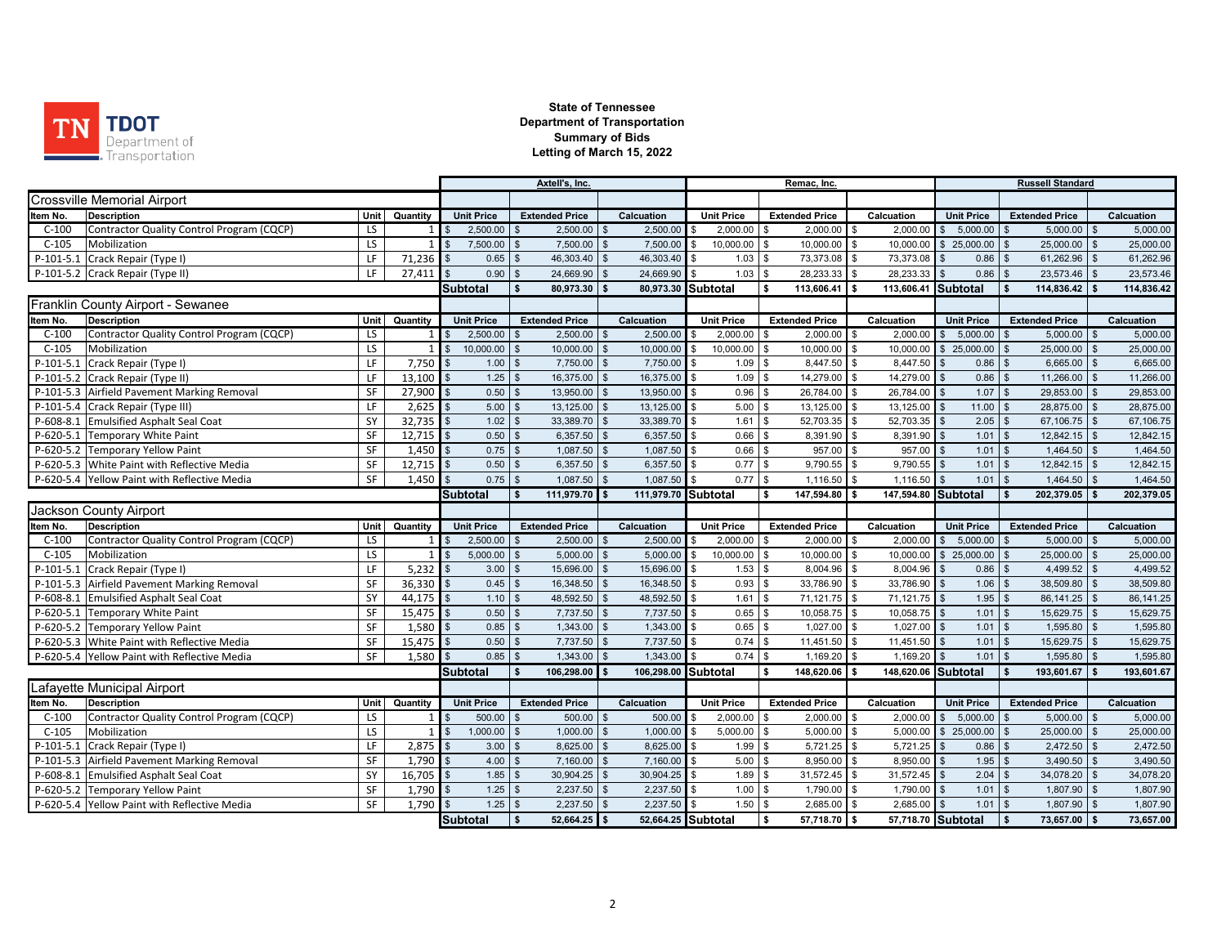

 $\sim$ 

|             |                                              |      | Axtell's, Inc. |                            |                        |                       |                    |                     | Remac, Inc.              |                                 |               | <b>Russell Standard</b>        |                               |                            |               |            |  |
|-------------|----------------------------------------------|------|----------------|----------------------------|------------------------|-----------------------|--------------------|---------------------|--------------------------|---------------------------------|---------------|--------------------------------|-------------------------------|----------------------------|---------------|------------|--|
|             | <b>Crossville Memorial Airport</b>           |      |                |                            |                        |                       |                    |                     |                          |                                 |               |                                |                               |                            |               |            |  |
| Item No.    | <b>Description</b>                           | Unit | Quantity       | <b>Unit Price</b>          |                        | <b>Extended Price</b> |                    | Calcuation          | <b>Unit Price</b>        | <b>Extended Price</b>           |               | Calcuation                     | <b>Unit Price</b>             | <b>Extended Price</b>      |               | Calcuation |  |
| $C-100$     | Contractor Quality Control Program (CQCP)    | LS.  |                | 2,500.00                   | $\mathbf{s}$           | 2,500.00              | <b>S</b>           | 2,500.00            | 2,000.00<br>$\mathbf{s}$ | 2,000.00<br><b>S</b>            | <sup>\$</sup> | 2,000.00                       | $5,000.00$ \$<br>$\mathbb{S}$ | 5,000.00                   |               | 5,000.00   |  |
| $C-105$     | Mobilization                                 | LS   |                | 7,500.00                   | $\mathbf{s}$           | 7,500.00              |                    | 7,500.00            | 10,000.00<br>\$.         | 10,000.00<br>$\mathbf{\hat{s}}$ | \$            | 10,000.00                      | \$25,000.00                   | 25,000.00                  | $\mathbf{s}$  | 25.000.00  |  |
| $P-101-5.1$ | Crack Repair (Type I)                        | LF   | 71,236         | 0.65                       | $\mathbb{S}$           | 46,303.40             | $\mathfrak{L}$     | 46,303.40           | 1.03                     | l \$<br>73,373.08               | \$            | 73,373.08                      | $0.86$ \$                     | 61,262.96                  |               | 61,262.96  |  |
|             | P-101-5.2 Crack Repair (Type II)             | LF   | 27.411         | 0.90                       | \$                     | 24,669.90             |                    | 24,669.90           | 1.03                     | 28,233.33<br>$\sqrt{3}$         | \$            | 28,233.33                      | 0.86                          | 23,573.46<br>\$            |               | 23,573.46  |  |
|             |                                              |      |                | <b>Subtotal</b>            | $\mathbf{s}$           | 80,973.30             | - \$               | 80,973.30 Subtotal  |                          | \$<br>113,606.41                | s.            | 113,606.41                     | Subtotal                      | 114,836.42<br>$\mathbf{s}$ |               | 114,836.42 |  |
|             | Franklin County Airport - Sewanee            |      |                |                            |                        |                       |                    |                     |                          |                                 |               |                                |                               |                            |               |            |  |
| Item No.    | <b>Description</b>                           | Unit | Quantity       | <b>Unit Price</b>          |                        | <b>Extended Price</b> |                    | Calcuation          | <b>Unit Price</b>        | <b>Extended Price</b>           |               | Calcuation                     | <b>Unit Price</b>             | <b>Extended Price</b>      |               | Calcuation |  |
| $C-100$     | Contractor Quality Control Program (CQCP)    | LS.  | $1 \vert$      | 2,500.00<br>-\$            | $\mathfrak{L}$         | 2,500.00              | <b>\$</b>          | 2,500.00            | 2,000.00<br>\$           | $2,000.00$ \$<br><b>S</b>       |               | 2,000.00                       | $5,000.00$ \$<br>\$           | $5,000.00$ \$              |               | 5,000.00   |  |
| $C-105$     | Mobilization                                 | LS   | 1              | $\mathbf{s}$<br>10,000.00  | $\mathbb{S}$           | 10,000.00             |                    | 10,000.00           | 10,000.00<br>\$          | 10,000.00<br>\$                 | \$            | 10,000.00                      | \$25,000.00                   | 25,000.00                  |               | 25,000.00  |  |
| P-101-5.    | Crack Repair (Type I)                        | LF   | 7,750          | 1.00                       | $\mathfrak s$          | 7,750.00              | $\mathbf{s}$       | 7,750.00            | 1.09                     | 8,447.50<br>\$                  | \$            | 8,447.50                       | 0.86                          | 6,665.00                   |               | 6,665.00   |  |
|             | P-101-5.2 Crack Repair (Type II)             | LF   | 13,100         | 1.25                       | $\mathfrak s$          | 16,375.00             | $\mathfrak{F}$     | 16,375.00           | 1.09<br>\$.              | 14,279.00<br>l \$               | $\mathbb{S}$  | 14,279.00                      | $0.86$ \$                     | 11,266.00                  | $\mathbb{S}$  | 11,266.00  |  |
|             | P-101-5.3 Airfield Pavement Marking Removal  | SF   | 27,900         | 0.50                       | $\mathbf{s}$           | 13,950.00             |                    | 13,950.00           | 0.96<br>\$               | 26,784.00<br>$\mathbf{s}$       | \$            | 26,784.00                      | 1.07                          | 29,853.00                  |               | 29,853.00  |  |
|             | P-101-5.4 Crack Repair (Type III)            | LF   | 2,625          | $\mathbf{s}$               | 5.00<br>$\sqrt{S}$     | 13,125.00             | $\mathbf{f}$       | 13,125.00           | 5.00                     | $\mathfrak s$<br>13,125.00      | \$            | 13,125.00                      | $11.00$ \$                    | 28,875.00                  |               | 28,875.00  |  |
|             | P-608-8.1 Emulsified Asphalt Seal Coat       | SY   | 32,735         | 1.02<br>$\mathfrak{s}$     | $\mathbb{S}$           | 33,389.70             | $\mathbf{\hat{s}}$ | 33,389.70           | 1.61<br>\$               | 52,703.35<br>$\mathbf{s}$       | $\mathbf{s}$  | 52,703.35                      | 2.05                          | 67,106.75<br>$\mathbf{s}$  | $\mathbf{s}$  | 67,106.75  |  |
|             | P-620-5.1 Temporary White Paint              | SF   | 12,715         | 0.50<br>\$                 | \$                     | 6.357.50              |                    | 6.357.50            | 0.66                     | 8.391.90<br>- \$                | \$            | 8.391.90                       | 1.01                          | 12.842.15                  |               | 12.842.15  |  |
|             | P-620-5.2 Temporary Yellow Paint             | SF   | 1,450          | $\mathfrak{s}$             | 0.75<br>$\mathfrak s$  | 1,087.50              | $\mathbf{f}$       | 1,087.50            | 0.66                     | 957.00<br>\$                    | \$            | 957.00                         | 1.01                          | 1,464.50                   |               | 1,464.50   |  |
|             | P-620-5.3 White Paint with Reflective Media  | SF   | 12,715         | 0.50<br>$\mathfrak{s}$     | $\mathfrak s$          | 6,357.50              | \$                 | 6,357.50            | 0.77<br>\$               | $\sqrt{3}$<br>9,790.55          | \$            | 9,790.55                       | 1.01                          | $12,842.15$ \$             |               | 12,842.15  |  |
|             | P-620-5.4 Yellow Paint with Reflective Media | SF   | 1,450          | 0.75                       | $\mathbf{s}$           | 1,087.50              |                    | 1.087.50            | 0.77                     | 1,116.50<br>l \$                | \$            | 1,116.50                       | 1.01                          | 1,464.50                   |               | 1,464.50   |  |
|             |                                              |      |                | <b>Subtotal</b>            | $\sqrt{2}$             | 111,979.70 \$         |                    | 111,979.70 Subtotal |                          | 147,594.80<br>s.                | l S           | 147,594.80                     | <b>Subtotal</b>               | 202,379.05<br>- \$         | S.            | 202,379.05 |  |
|             |                                              |      |                |                            |                        |                       |                    |                     |                          |                                 |               |                                |                               |                            |               |            |  |
|             | Jackson County Airport                       |      |                |                            |                        |                       |                    |                     |                          |                                 |               |                                |                               |                            |               |            |  |
| Item No.    | <b>Description</b>                           | Unit | Quantity       | <b>Unit Price</b>          |                        | <b>Extended Price</b> |                    | Calcuation          | <b>Unit Price</b>        | <b>Extended Price</b>           |               | Calcuation                     | <b>Unit Price</b>             | <b>Extended Price</b>      |               | Calcuation |  |
| $C-100$     | Contractor Quality Control Program (CQCP)    | LS.  |                | 2,500.00                   | $\mathbb{S}$           | 2,500.00              | <b>\$</b>          | 2,500.00            | 2,000.00<br>$\mathbf{s}$ | 2,000.00<br>\$                  | \$            | 2,000.00                       | $5,000.00$ \$<br>$\mathbb{S}$ | 5,000.00                   |               | 5,000.00   |  |
| $C-105$     | Mobilization                                 | LS   |                | 5,000.00<br>$\mathfrak{L}$ | $\mathbb{S}$           | 5,000.00              | $\mathfrak{F}$     | 5,000.00            | 10,000.00<br>\$.         | 10,000.00<br>\$                 | \$            | 10,000.00                      | \$25,000.00                   | 25,000.00<br>$\mathbf{s}$  | $\mathbb{S}$  | 25,000.00  |  |
| $P-101-5.1$ | Crack Repair (Type I)                        | LF   | 5,232          | 3.00<br>$\mathfrak{s}$     | $$\mathbb{S}$$         | 15,696.00             | $\mathbf{S}$       | 15,696.00           | 1.53                     | $\mathbf{s}$<br>8,004.96        | \$            | 8,004.96                       | 0.86                          | 4,499.52                   |               | 4,499.52   |  |
|             | P-101-5.3 Airfield Pavement Marking Removal  | SF   | 36,330         | 0.45                       | $\mathbb{S}$           | 16,348.50             | $\mathbf{f}$       | 16,348.50           | 0.93                     | l \$<br>33,786.90               | \$            | 33,786.90                      | $1.06$ \$                     | 38,509.80                  |               | 38,509.80  |  |
|             | P-608-8.1 Emulsified Asphalt Seal Coat       | SY   | 44,175         | 1.10<br>$\mathfrak{s}$     | $\mathbf{s}$           | 48.592.50             |                    | 48,592.50           | 1.61<br>\$               | 71,121.75<br>l \$               | \$            | 71,121.75                      | 1.95                          | 86,141.25                  | $\mathbf{s}$  | 86,141.25  |  |
|             | P-620-5.1 Temporary White Paint              | SF   | 15,475         | 0.50<br>\$                 | $\mathfrak s$          | 7,737.50              | $\mathbf{S}$       | 7,737.50            | 0.65<br>\$               | $\sqrt{3}$<br>10,058.75         | \$            | 10,058.75                      | 1.01                          | 15,629.75                  | $\mathbb{S}$  | 15,629.75  |  |
|             | P-620-5.2 Temporary Yellow Paint             | SF   | 1,580          | 0.85                       | $\mathfrak s$          | 1,343.00              | <b>\$</b>          | 1,343.00            | 0.65                     | $\sqrt{3}$<br>1,027.00          | $\sqrt{3}$    | 1,027.00                       | 1.01                          | 1,595.80                   |               | 1,595.80   |  |
|             | P-620-5.3 White Paint with Reflective Media  | SF   | 15,475         | 0.50<br>$\mathfrak{L}$     | $\mathbb{S}$           | 7,737.50              |                    | 7,737.50            | 0.74<br>\$               | 11,451.50<br>l \$               | \$            | 11,451.50                      | 1.01                          | 15,629.75                  | $\mathbf{\$}$ | 15,629.75  |  |
|             | P-620-5.4 Yellow Paint with Reflective Media | SF   | 1,580          | 0.85                       | $\mathfrak{L}$         | 1,343.00              |                    | 1,343.00            | 0.74                     | 1,169.20<br>l \$                | \$            | 1,169.20                       | 1.01                          | 1,595.80                   |               | 1,595.80   |  |
|             |                                              |      |                | <b>Subtotal</b>            | $\mathbf{s}$           | 106,298.00            |                    | 106,298.00 Subtotal |                          | 148,620.06<br>s.                | l S           | 148,620.06 Subtotal            |                               | 193,601.67<br>Ŝ.           |               | 193,601.67 |  |
|             | Lafayette Municipal Airport                  |      |                |                            |                        |                       |                    |                     |                          |                                 |               |                                |                               |                            |               |            |  |
| Item No.    | <b>Description</b>                           | Unit | Quantity       | <b>Unit Price</b>          |                        | <b>Extended Price</b> |                    | Calcuation          | <b>Unit Price</b>        | <b>Extended Price</b>           |               | Calcuation                     | <b>Unit Price</b>             | <b>Extended Price</b>      |               | Calcuation |  |
| $C-100$     | Contractor Quality Control Program (CQCP)    | LS.  |                | 500.00                     | \$                     | 500.00                |                    | 500.00              | 2,000.00                 | 2,000.00<br>\$                  |               | 2.000.00                       | 5,000.00<br>\$.               | 5,000.00                   |               | 5,000.00   |  |
| $C-105$     | Mobilization                                 | LS.  | $\mathbf{1}$   | 1,000.00<br>\$             | $\mathbb{S}$           | 1,000.00              | \$                 | 1,000.00            | 5,000.00                 | l \$<br>$5,000.00$ \$           |               | 5,000.00                       | $$25,000.00$ \\$              | 25,000.00                  | \$            | 25,000.00  |  |
|             | P-101-5.1 Crack Repair (Type I)              | LF   | 2,875          | 3.00<br>$\mathbf{s}$       | \$                     | 8,625.00              | $\mathbf{S}$       | 8,625.00            | 1.99                     | 5,721.25<br>\$                  | \$            | 5,721.25                       | $0.86$ \$                     | 2,472.50                   | $\mathbb{S}$  | 2,472.50   |  |
| $P-101-5.3$ | Airfield Pavement Marking Removal            | SF   | 1,790          | $\mathfrak{s}$<br>4.00     | $\mathbb{S}$           | 7,160.00              | $\mathbf{\hat{s}}$ | 7,160.00            | 5.00                     | $\sqrt{3}$<br>8,950.00          | . \$          | 8,950.00                       | $1.95$ \$                     | 3,490.50                   |               | 3,490.50   |  |
|             | P-608-8.1 Emulsified Asphalt Seal Coat       | SY   | 16,705         | 1.85<br>$\mathfrak{s}$     | \$                     | 30,904.25             | \$                 | 30,904.25           | 1.89<br><b>S</b>         | 31,572.45<br>l \$               | $\mathbf{s}$  | 31,572.45                      | $2.04$ \$                     | 34,078.20                  | \$            | 34,078.20  |  |
|             | P-620-5.2 Temporary Yellow Paint             | SF   | 1,790          | 1.25                       | \$                     | 2,237.50              |                    | 2,237.50            | 1.00                     | \$<br>1,790.00                  | \$            | 1,790.00                       | 1.01                          | 1,807.90                   |               | 1,807.90   |  |
|             | P-620-5.4 Yellow Paint with Reflective Media | SF   | 1,790          |                            | 1.25<br>$\mathfrak{s}$ | 2,237.50              |                    | 2,237.50            | 1.50                     | \$<br>2,685.00                  |               | 2,685.00<br>57,718.70 Subtotal | 1.01                          | 1,807.90                   |               | 1,807.90   |  |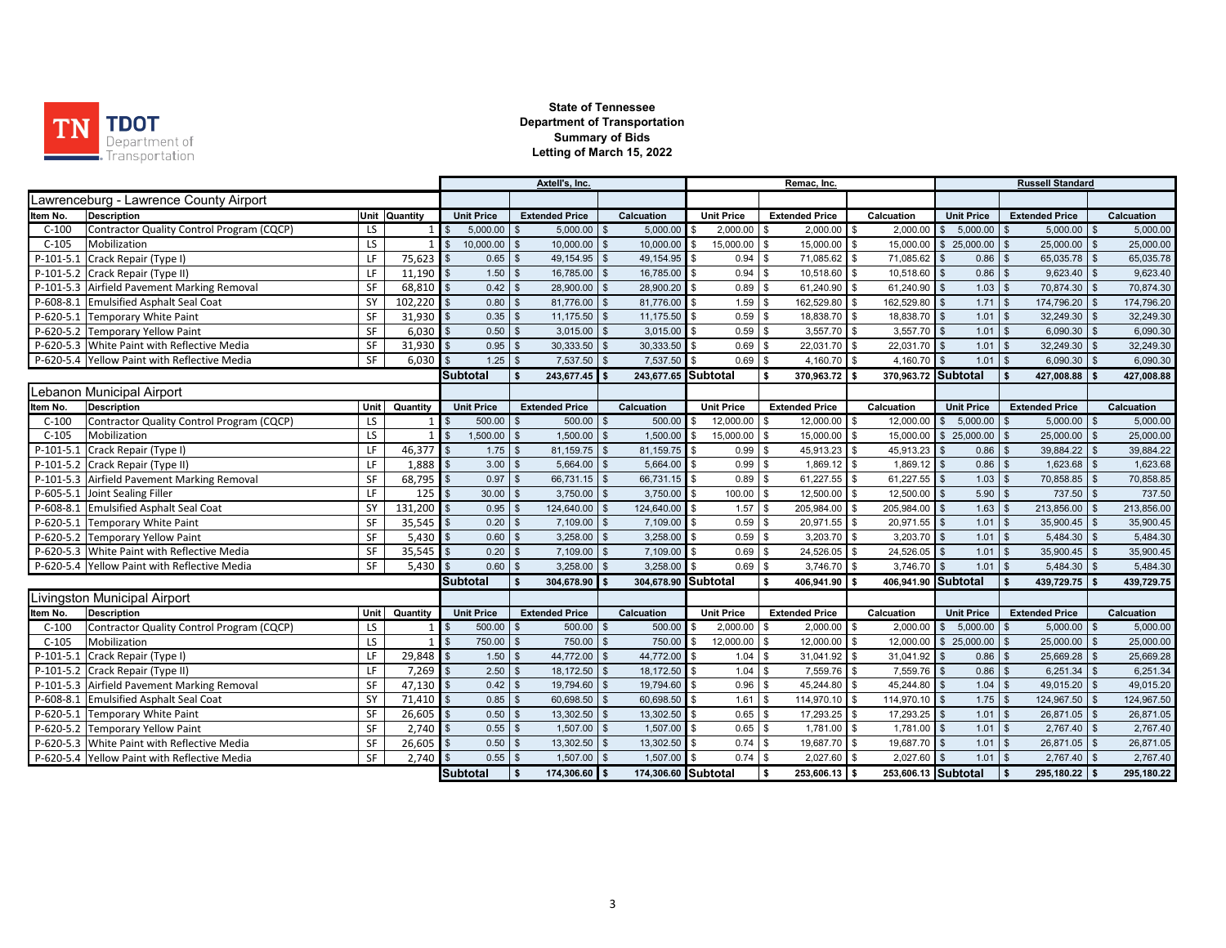

|                                                      |      |                |                            |                   | Axtell's, Inc.              |                |                     |                      | Remac, Inc.                    |                     |                          | <b>Russell Standard</b>     |                |            |
|------------------------------------------------------|------|----------------|----------------------------|-------------------|-----------------------------|----------------|---------------------|----------------------|--------------------------------|---------------------|--------------------------|-----------------------------|----------------|------------|
| Lawrenceburg - Lawrence County Airport               |      |                |                            |                   |                             |                |                     |                      |                                |                     |                          |                             |                |            |
| <b>Description</b><br>ltem No.                       |      | Unit Quantity  |                            | <b>Unit Price</b> | <b>Extended Price</b>       |                | Calcuation          | <b>Unit Price</b>    | <b>Extended Price</b>          | Calcuation          | <b>Unit Price</b>        | <b>Extended Price</b>       |                | Calcuation |
| $C-100$<br>Contractor Quality Control Program (CQCP) | LS.  |                |                            | 5.000.00          | 5.000.00                    |                | 5.000.00            | 2.000.00             | 2.000.00<br><sup>\$</sup>      | 2.000.00            | 5.000.00<br>\$           | 5.000.00                    |                | 5,000.00   |
| $C-105$<br>Mobilization                              | LS   | $1\vert$       | $\mathbb{S}$               | 10,000.00         | 10,000.00<br>\$             | \$             | 10,000.00           | 15,000.00<br>\$      | \$<br>15,000.00 \$             | 15,000.00           | 25,000.00<br>\$          | 25,000.00<br><b>S</b>       | $\mathbb{S}$   | 25,000.00  |
| $P-101-5.1$<br>Crack Repair (Type I)                 | LF   | 75,623         |                            | 0.65              | 49,154.95<br>\$             |                | 49,154.95           | 0.94                 | 71,085.62 \$<br>\$             | 71,085.62           | 0.86                     | 65,035.78                   | $\mathbf{s}$   | 65,035.78  |
| P-101-5.2 Crack Repair (Type II)                     | LF   | 11,190         |                            | 1.50              | 16,785.00<br>\$.            |                | 16,785.00           | 0.94<br>$\mathbf{s}$ | $\mathfrak s$<br>10,518.60 \$  | 10,518.60           | 0.86                     | 9,623.40<br>l \$            | $\mathbf{s}$   | 9,623.40   |
| P-101-5.3 Airfield Pavement Marking Removal          | SF   | 68,810         | $\mathfrak{L}$             | 0.42              | 28,900.00<br>\$.            |                | 28,900.20 \$        | 0.89                 | \$<br>61,240.90 \$             | 61,240.90           | $1.03$ \$                | 70,874.30 \$                |                | 70,874.30  |
| P-608-8.1 Emulsified Asphalt Seal Coat               | SY   | 102,220        |                            | 0.80              | 81,776.00                   |                | 81,776.00           | 1.59<br>\$           | 162,529.80<br>$\mathbf{s}$     | 162,529.80          | $1.71$ \$                | 174,796.20                  |                | 174,796.20 |
| P-620-5.1 Temporary White Paint                      | SF   | 31,930         | $\mathbf{s}$               | 0.35              | 11,175.50<br>$\mathfrak{L}$ | $\mathfrak{R}$ | 11,175.50 \$        | 0.59                 | 18,838.70 \$<br>\$             | 18,838.70           | 1.01                     | 32,249.30<br>$\mathsf{I}$ s | $\mathbf{s}$   | 32,249.30  |
| P-620-5.2 Temporary Yellow Paint                     | SF   | 6.030          |                            | 0.50              | 3,015.00<br>\$              |                | 3,015.00            | 0.59                 | $3,557.70$ \$<br>$\mathbf{s}$  | 3,557.70            | 1.01                     | 6,090.30<br>l \$            | $\mathfrak{L}$ | 6,090.30   |
| P-620-5.3 White Paint with Reflective Media          | SF   | 31,930         |                            | 0.95              | 30,333.50                   |                | 30,333.50           | 0.69                 | 22,031.70 \$<br>\$             | 22,031.70           | 1.01                     | 32,249.30<br>l \$           |                | 32,249.30  |
| P-620-5.4 Yellow Paint with Reflective Media         | SF   | 6.030          |                            | 1.25              | 7,537.50<br>$\mathbf{s}$    |                | 7,537.50            | 0.69<br>$\mathbf{s}$ | \$<br>4,160.70 \$              | 4,160.70            | $1.01$ \$                | 6,090.30                    | l \$           | 6,090.30   |
|                                                      |      |                | <b>Subtotal</b>            |                   | 243,677.45                  |                | 243,677.65 Subtotal |                      | Ŝ.<br>370.963.72 \$            | 370,963.72 Subtotal |                          | 427,008.88                  |                | 427,008.88 |
| ebanon Municipal Airport                             |      |                |                            |                   |                             |                |                     |                      |                                |                     |                          |                             |                |            |
| <b>Description</b><br>tem No.                        | Unit | Quantity       |                            | <b>Unit Price</b> | <b>Extended Price</b>       |                | Calcuation          | <b>Unit Price</b>    | <b>Extended Price</b>          | Calcuation          | <b>Unit Price</b>        | <b>Extended Price</b>       |                | Calcuation |
| $C-100$<br>Contractor Quality Control Program (CQCP) | LS.  | 1 <sup>1</sup> |                            | 500.00            | 500.00<br>\$.               | $\mathfrak{R}$ | 500.00              | 12,000.00<br>£.      | 12,000.00 \$<br>\$             | 12,000.00           | 5,000.00<br>$\mathbb{S}$ | $5,000.00$ \$<br><b>S</b>   |                | 5,000.00   |
| $C-105$<br>Mobilization                              | LS   | $\overline{1}$ | $\mathbf{s}$               | 1,500.00          | 1,500.00<br>\$              |                | 1,500.00            | 15,000.00<br>\$.     | $\mathfrak{s}$<br>15,000.00 \$ | 15,000.00           | \$25,000.00              | 25,000.00                   | $\mathfrak{L}$ | 25,000.00  |
| P-101-5.1 Crack Repair (Type I)                      | LF   | 46,377         |                            | 1.75              | 81,159.75<br>\$.            |                | 81,159.75           | 0.99<br>$\mathbf{s}$ | 45,913.23<br>\$                | 45,913.23<br>\$     | 0.86                     | 39,884.22                   | $\mathbf{\$}$  | 39,884.22  |
| P-101-5.2 Crack Repair (Type II)                     | LF   | 1,888          |                            | 3.00              | 5,664.00<br>\$              |                | $5,664.00$ \$       | 0.99                 | $\mathfrak{s}$<br>1,869.12 \$  | 1,869.12            | 0.86                     | 1,623.68                    | $\mathbf{s}$   | 1,623.68   |
| P-101-5.3 Airfield Pavement Marking Removal          | SF   | 68,795         |                            | 0.97              | 66,731.15                   | $\mathfrak{s}$ | 66,731.15 \$        | 0.89                 | $\mathbf{s}$<br>61,227.55 \$   | 61,227.55           | 1.03                     | 70,858.85<br>l \$           |                | 70,858.85  |
| P-605-5.1 Joint Sealing Filler                       | LF   | $125$ \$       |                            | 30.00             | 3.750.00<br>\$.             | $\mathfrak{R}$ | $3,750.00$ \$       | 100.00               | 12,500.00 \$<br>\$             | 12,500.00           | 5.90                     | 737.50<br>l \$              | \$             | 737.50     |
| P-608-8.1 Emulsified Asphalt Seal Coat               | SY   | 131,200        | $\mathfrak{L}$             | 0.95              | 124,640.00<br>\$            |                | 124,640.00 \$       | 1.57                 | \$<br>205,984.00 \$            | 205,984.00          | 1.63                     | 213,856.00<br>l \$          | \$             | 213,856.00 |
| P-620-5.1 Temporary White Paint                      | SF   | 35,545         |                            | 0.20              | 7,109.00<br>\$              |                | 7,109.00            | 0.59<br>$\mathbf{s}$ | 20,971.55 \$<br>\$             | 20,971.55           | 1.01                     | 35,900.45<br><b>S</b>       | $\sqrt{s}$     | 35,900.45  |
| P-620-5.2 Temporary Yellow Paint                     | SF   | 5,430          |                            | 0.60              | 3,258.00<br>\$.             |                | 3,258.00            | 0.59<br><b>S</b>     | $3,203.70$ \$<br>\$            | 3,203.70            | 1.01                     | 5,484.30<br>l \$            | $\sqrt{s}$     | 5,484.30   |
| P-620-5.3 White Paint with Reflective Media          | SF   | 35,545         |                            | 0.20              | 7,109.00<br>\$              |                | 7,109.00            | 0.69<br>$\mathbf{s}$ | 24,526.05<br>\$                | 24,526.05           | 1.01                     | 35,900.45<br>l \$           |                | 35,900.45  |
| P-620-5.4 Yellow Paint with Reflective Media         | SF   | 5,430          |                            | 0.60              | 3,258.00<br>\$              |                | 3,258.00            | 0.69                 | \$<br>3,746.70 \$              | 3,746.70            | $1.01$ \$                | 5,484.30                    |                | 5,484.30   |
|                                                      |      |                | <b>Subtotal</b>            |                   | 304,678.90                  |                | 304,678.90 Subtotal |                      | \$<br>406,941.90               | 406,941.90 Subtotal |                          | 439,729.75 \$               |                | 439,729.75 |
| Livingston Municipal Airport                         |      |                |                            |                   |                             |                |                     |                      |                                |                     |                          |                             |                |            |
| Item No.<br><b>Description</b>                       | Unit | Quantity       |                            | <b>Unit Price</b> | <b>Extended Price</b>       |                | Calcuation          | <b>Unit Price</b>    | <b>Extended Price</b>          | Calcuation          | <b>Unit Price</b>        | <b>Extended Price</b>       |                | Calcuation |
| $C-100$<br>Contractor Quality Control Program (CQCP) | LS   | $\mathbf{1}$   |                            | 500.00            | 500.00                      |                | 500.00              | 2,000.00             | $2,000.00$ \$<br>\$            | 2,000.00            | \$5,000.00               | $5,000.00$ \$<br><b>S</b>   |                | 5,000.00   |
| $C-105$<br>Mobilization                              | LS   | $\mathbf{1}$   | $\overline{\phantom{a}}$ s | 750.00            | 750.00                      |                | 750.00              | 12,000.00<br>\$      | $\mathbf{s}$<br>12,000.00 \$   | 12,000.00           | \$25,000.00              | 25,000.00                   | $\mathbb{S}$   | 25,000.00  |
| $P-101-5.1$<br>Crack Repair (Type I)                 | LF   | 29,848         | $\mathbf{s}$               | 1.50              | 44,772.00                   |                | 44,772.00           | 1.04                 | 31,041.92 \$<br>\$             | 31,041.92           | 0.86                     | 25,669.28<br>l \$           |                | 25,669.28  |
| Crack Repair (Type II)<br>P-101-5.2                  | LF   | 7,269          |                            | 2.50              | 18,172.50<br>\$.            |                | 18,172.50 \$        | 1.04                 | 7,559.76 \$<br>$\mathbf{s}$    | 7,559.76            | 0.86                     | 6,251.34<br>l \$            | l \$           | 6,251.34   |
| P-101-5.3 Airfield Pavement Marking Removal          | SF   | 47,130         |                            | 0.42              | $\mathbb{S}$<br>19,794.60   | <b>.S</b>      | 19,794.60 \$        | 0.96                 | \$<br>45,244.80 \$             | 45,244.80           | 1.04                     | 49,015.20<br>l \$           | $\mathbf{s}$   | 49,015.20  |
| P-608-8.1 Emulsified Asphalt Seal Coat               | SY   | 71,410         |                            | 0.85              | 60,698.50<br>\$             |                | 60,698.50           | 1.61<br>$\mathbf{s}$ | $\mathfrak s$<br>114,970.10 \$ | 114,970.10          | $1.75$ \$                | 124,967.50                  |                | 124,967.50 |
| P-620-5.1 Temporary White Paint                      | SF   | 26,605         |                            | 0.50              | 13,302.50<br>\$             |                | 13,302.50 \$        | 0.65                 | \$<br>17,293.25 \$             | 17,293.25           | 1.01                     | 26,871.05<br>l \$           | $\sqrt{s}$     | 26,871.05  |
| P-620-5.2 Temporary Yellow Paint                     | SF   | 2,740          |                            | 0.55              | $\mathbf{\$}$<br>1,507.00   |                | 1,507.00            | \$<br>0.65           | \$<br>1,781.00 \$              | 1,781.00            | 1.01                     | 2,767.40<br>l \$            |                | 2,767.40   |
| P-620-5.3 White Paint with Reflective Media          | SF   | 26,605         |                            | 0.50              | 13,302.50<br>\$             |                | 13,302.50           | 0.74<br>- \$         | \$<br>19,687.70 \$             | 19,687.70           | $1.01$ \ \$              | 26,871.05 \$                |                | 26,871.05  |
| P-620-5.4 Yellow Paint with Reflective Media         | SF   | 2.740          |                            | 0.55              | 1,507.00<br>$\mathfrak{L}$  |                | 1,507.00            | 0.74<br>$\mathbf{s}$ | \$<br>2,027.60 \$              | 2,027.60            | 1.01                     | 2,767.40<br>l \$            | $\mathbf{\$}$  | 2,767.40   |
|                                                      |      |                | Subtotal                   |                   | 174.306.60 \$               |                | 174,306.60 Subtotal |                      | $253.606.13$ \$<br>\$          | 253,606.13 Subtotal |                          | 295.180.22 \$<br>l s        |                | 295,180.22 |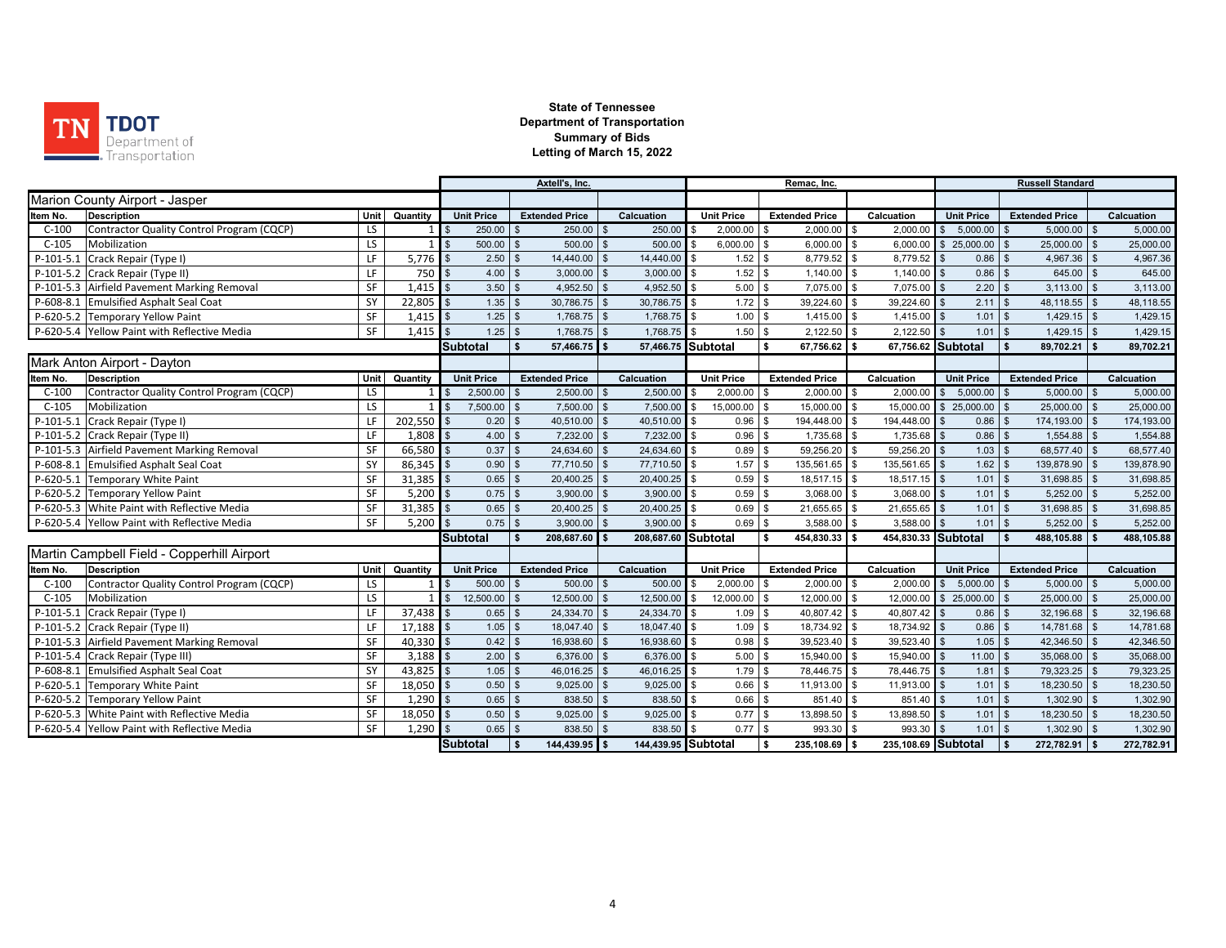

|             |                                              |              |                                                |                                      | Axtell's, Inc.     |                       |                    |                     | Remac, Inc.          |                                    |                     |                            |                           |                |            |
|-------------|----------------------------------------------|--------------|------------------------------------------------|--------------------------------------|--------------------|-----------------------|--------------------|---------------------|----------------------|------------------------------------|---------------------|----------------------------|---------------------------|----------------|------------|
|             | Marion County Airport - Jasper               |              |                                                |                                      |                    |                       |                    |                     |                      |                                    |                     |                            |                           |                |            |
| Item No.    | <b>Description</b>                           | Unit         | Quantity                                       | <b>Unit Price</b>                    |                    | <b>Extended Price</b> |                    | Calcuation          | <b>Unit Price</b>    | <b>Extended Price</b>              | Calcuation          | <b>Unit Price</b>          | <b>Extended Price</b>     |                | Calcuation |
| $C-100$     | Contractor Quality Control Program (CQCP)    | LS           | $1$ $\overline{\text{}}$ $\overline{\text{s}}$ | 250.00                               |                    | 250.00                |                    | 250.00              | 2,000.00             | $2,000.00$ \$<br>\$                | 2,000.00            | 5,000.00<br>\$             | 5,000.00                  | \$             | 5,000.00   |
| $C-105$     | Mobilization                                 | LS           |                                                | $\mathfrak{R}$<br>500.00             | \$.                | 500.00                | <b>.S</b>          | 500.00              | 6,000.00<br>- \$     | $\mathfrak s$<br>$6,000.00$ \$     | 6,000.00            | \$25,000.00                | 25,000.00<br>- \$         | $\sqrt{s}$     | 25,000.00  |
| $P-101-5.1$ | Crack Repair (Type I)                        | LF           | 5,776                                          | l s<br>2.50                          | $\mathfrak{L}$     | 14,440.00             | $\mathbf{s}$       | 14,440.00           | 1.52                 | l \$<br>8,779.52 \$                | 8,779.52            | 0.86                       | 4,967.36<br>l \$          | 1S             | 4,967.36   |
|             | P-101-5.2 Crack Repair (Type II)             | LF           | 750                                            | 4.00<br>l s                          | $\mathfrak{s}$     | 3,000.00              | $\mathfrak{s}$     | 3,000.00            | $1.52$ \$<br>\$      | $1,140.00$ \$                      | 1,140.00            | $0.86$ \$                  | $645.00$ \$               |                | 645.00     |
|             | P-101-5.3 Airfield Pavement Marking Removal  | SF           | 1,415                                          | 3.50<br>l \$                         | $\mathbf{s}$       | 4,952.50              | $\mathbf{s}$       | $4,952.50$ \$       | 5.00                 | 7,075.00 \$<br>\$                  | 7,075.00            | 2.20                       | 3,113.00<br>l \$          | $\sqrt{s}$     | 3,113.00   |
|             | P-608-8.1 Emulsified Asphalt Seal Coat       | SY           | 22,805                                         | 1.35<br>$\sqrt{3}$                   | \$                 | 30,786.75             | \$                 | $30,786.75$ \$      | 1.72                 | $\sqrt{3}$<br>39,224.60 \$         | 39,224.60           | $2.11$ \$                  | 48,118.55 \$              |                | 48,118.55  |
|             | P-620-5.2 Temporary Yellow Paint             | SF           | 1,415                                          | 1.25<br>l \$                         | $\mathbb{S}$       | 1,768.75              | \$                 | $1,768.75$ \$       | 1.00                 | \$<br>$1,415.00$ \$                | 1,415.00            | 1.01                       | 1,429.15                  | $\sqrt{s}$     | 1,429.15   |
|             | P-620-5.4 Yellow Paint with Reflective Media | SF           | 1,415                                          | 1.25                                 | $\mathbb{S}$       | 1,768.75              | $\mathfrak{s}$     | 1,768.75            | 1.50<br>$\mathbf{s}$ | $\mathfrak{s}$<br>2,122.50         | \$<br>2.122.50      | 1.01                       | 1,429.15                  | $\mathbf{s}$   | 1,429.15   |
|             | Subtotal                                     | $\mathbf{s}$ | 57.466.75                                      |                                      | 57.466.75 Subtotal |                       | \$<br>67.756.62 \$ |                     | 67.756.62 Subtotal   | $89.702.21$ \$                     |                     | 89,702.21                  |                           |                |            |
|             | Mark Anton Airport - Dayton                  |              |                                                |                                      |                    |                       |                    |                     |                      |                                    |                     |                            |                           |                |            |
| Item No.    | <b>Description</b>                           | Unit         | Quantity                                       | <b>Unit Price</b>                    |                    | <b>Extended Price</b> |                    | Calcuation          | <b>Unit Price</b>    | <b>Extended Price</b>              | Calcuation          | <b>Unit Price</b>          | <b>Extended Price</b>     |                | Calcuation |
| $C-100$     | Contractor Quality Control Program (CQCP)    | LS           |                                                | 2,500.00                             |                    | 2,500.00              | $\mathfrak{L}$     | 2,500.00            | 2,000.00<br>-\$      | \$<br>$2,000.00$ \$                | 2,000.00            | 5,000.00<br>$\mathbb{S}$   | 5,000.00                  | $\mathbf{s}$   | 5,000.00   |
| $C-105$     | Mobilization                                 | LS           |                                                | 7,500.00                             |                    | 7,500.00              |                    | 7,500.00            | 15,000.00<br>\$      | \$<br>15,000.00 \$                 | 15,000.00           | $\mathfrak s$<br>25,000.00 | 25,000.00                 | $\mathbf{s}$   | 25,000.00  |
| $P-101-5.1$ | Crack Repair (Type I)                        | LF           | 202,550                                        | 0.20                                 |                    | 40,510.00             | -\$                | 40,510.00           | 0.96                 | \$<br>194,448.00 \$                | 194,448.00          | 0.86                       | 174,193.00 \$             |                | 174,193.00 |
|             | P-101-5.2 Crack Repair (Type II)             | LF           | 1,808                                          | 4.00<br>\$                           | \$                 | 7,232.00              | \$                 | 7,232.00            | 0.96<br>\$           | \$<br>1,735.68 \$                  | 1,735.68            | 0.86                       | 1,554.88                  | $\mathbf{s}$   | 1,554.88   |
|             | P-101-5.3 Airfield Pavement Marking Removal  | SF           | 66,580                                         | 0.37<br>\$                           | $\mathfrak{s}$     | 24,634.60             | $\mathfrak{R}$     | 24,634.60           | 0.89<br>\$           | 59,256.20<br>\$                    | 59,256.20           | 1.03                       | 68,577.40                 | $\sqrt{S}$     | 68,577.40  |
| P-608-8.1   | <b>Emulsified Asphalt Seal Coat</b>          | SY           | 86,345                                         | $\sqrt{3}$<br>0.90                   | $\mathfrak{L}$     | 77,710.50             | $\mathbf{s}$       | 77,710.50           | 1.57<br>$\sqrt{3}$   | 135,561.65 \$<br>\$                | 135,561.65          | 1.62<br>$\mathbf{\$}$      | 139,878.90 \$<br>l \$     |                | 139,878.90 |
|             | P-620-5.1 Temporary White Paint              | SF           | 31,385                                         | 0.65<br>l \$                         | $$^{\circ}$        | 20.400.25             | $\mathfrak{s}$     | $20,400.25$ \$      | 0.59                 | 18.517.15 \$<br>\$                 | 18,517.15           | 1.01<br>$\mathbf{s}$       | 31,698.85 \$<br>l \$      |                | 31,698.85  |
|             | P-620-5.2 Temporary Yellow Paint             | SF           | 5,200                                          | 0.75<br>$\mathbf{s}$                 | $\mathfrak{s}$     | 3,900.00              | $\mathbf{\$}$      | 3,900.00            | 0.59<br>$\sqrt{3}$   | \$<br>$3,068.00$ \$                | 3,068.00            | 1.01                       | 5,252.00<br><b>S</b>      | $\mathbf{\$}$  | 5,252.00   |
|             | P-620-5.3 White Paint with Reflective Media  | SF           | 31,385                                         | 0.65<br>$\mathbf{\hat{f}}$           | $\mathfrak{L}$     | 20,400.25             | <b>.S</b>          | 20,400.25 \$        | 0.69                 | \$<br>21,655.65 \$                 | 21,655.65           | 1.01                       | 31,698.85                 | $\mathfrak{L}$ | 31,698.85  |
|             | P-620-5.4 Yellow Paint with Reflective Media | SF           | 5.200                                          | 0.75                                 | $\mathbb{S}$       | 3,900.00              |                    | 3,900.00            | 0.69                 | \$<br>3,588.00                     | \$<br>3,588.00      | 1.01                       | 5,252.00                  | $\mathfrak{L}$ | 5,252.00   |
|             |                                              |              |                                                | Subtotal                             | Ŝ.                 | 208.687.60            |                    | 208,687.60 Subtotal |                      | 454,830.33 \$<br>s.                | 454,830.33 Subtotal |                            | 488,105.88 \$             |                | 488,105.88 |
|             | Martin Campbell Field - Copperhill Airport   |              |                                                |                                      |                    |                       |                    |                     |                      |                                    |                     |                            |                           |                |            |
| Item No.    | <b>Description</b>                           | Unit         | Quantity                                       | <b>Unit Price</b>                    |                    | <b>Extended Price</b> |                    | Calcuation          | <b>Unit Price</b>    | <b>Extended Price</b>              | Calcuation          | <b>Unit Price</b>          | <b>Extended Price</b>     |                | Calcuation |
| $C-100$     | Contractor Quality Control Program (CQCP)    | LS           |                                                | 500.00<br>$\blacksquare$             | \$                 | 500.00                | $\mathfrak{L}$     | $500.00$ \$         | 2,000.00             | $2,000.00$ \$<br>\$                | 2.000.00            | \$5,000.00                 | $5.000.00$ \$<br><b>S</b> |                | 5,000.00   |
| $C-105$     | Mobilization                                 | LS           |                                                | 12,500.00<br>$\overline{\mathbf{s}}$ | \$                 | 12,500.00             |                    | 12,500.00           | 12,000.00<br>\$      | $\mathbf{s}$<br>12.000.00 \$       | 12,000.00           | \$25,000.00                | 25,000.00                 | $\mathfrak{L}$ | 25,000.00  |
| $P-101-5.1$ | Crack Repair (Type I)                        | LF           | 37,438                                         | $\mathbf{\hat{f}}$<br>0.65           | \$.                | 24,334.70             | $\mathbf{R}$       | 24,334.70           | 1.09<br>\$           | \$<br>40,807.42 \$                 | 40,807.42           | 0.86                       | 32,196.68                 | \$             | 32,196.68  |
|             | P-101-5.2 Crack Repair (Type II)             | LF           | 17,188                                         | 1.05                                 | \$                 | 18,047.40             |                    | 18,047.40           | 1.09<br>\$.          | $\mathbf{\hat{s}}$<br>18,734.92 \$ | 18,734.92           | 0.86                       | 14,781.68                 |                | 14,781.68  |
|             | P-101-5.3 Airfield Pavement Marking Removal  | SF           | 40,330                                         | 0.42                                 | $\mathfrak{s}$     | 16,938.60             |                    | 16.938.60           | 0.98                 | 39,523.40<br>$\mathbf{\hat{s}}$    | 39,523.40           | 1.05                       | 42.346.50                 |                | 42,346.50  |
|             | P-101-5.4 Crack Repair (Type III)            | SF           | 3,188                                          | 2.00                                 | $\mathbf{\hat{z}}$ | 6,376.00              | \$                 | 6,376.00            | 5.00<br>\$           | $\mathfrak{s}$<br>15,940.00 \$     | 15,940.00           | 11.00                      | 35,068.00<br>l \$         | <b>\$</b>      | 35,068.00  |
|             | P-608-8.1 Emulsified Asphalt Seal Coat       | SY           | 43,825                                         | 1.05<br>l \$                         | $\mathfrak{S}$     | 46,016.25             | \$                 | 46,016.25           | 1.79<br>$\mathbf{s}$ | 78,446.75 \$<br>$\sqrt{3}$         | 78,446.75           | 1.81                       | 79,323.25 \$<br>l \$      |                | 79,323.25  |
|             | P-620-5.1 Temporary White Paint              | SF           | 18,050                                         | 0.50<br>l \$                         | \$                 | 9,025.00              | $\mathfrak{s}$     | 9,025.00            | 0.66<br>\$           | \$<br>11,913.00 \$                 | 11,913.00           | 1.01<br>$\mathbf{s}$       | 18,230.50 \$<br><b>S</b>  |                | 18,230.50  |
|             | P-620-5.2 Temporary Yellow Paint             | SF           | 1,290                                          | 0.65                                 | $\mathfrak{s}$     | 838.50                | $\mathfrak{s}$     | 838.50              | 0.66                 | \$<br>851.40 \$                    | 851.40              | 1.01                       | 1,302.90                  | $\mathbf{s}$   | 1,302.90   |
|             | P-620-5.3 White Paint with Reflective Media  | SF           | 18,050                                         | 0.50                                 |                    | 9,025.00              | \$                 | 9,025.00            | 0.77                 | $\mathfrak{s}$<br>13,898.50        | 13,898.50           | 1.01                       | 18,230.50                 |                | 18,230.50  |
|             | P-620-5.4 Yellow Paint with Reflective Media | SF           | $1,290$ \$                                     | 0.65                                 |                    | 838.50                |                    | 838.50              | 0.77                 | $\sqrt{3}$<br>993.30 \$            | 993.30              | 1.01                       | 1,302.90                  |                | 1,302.90   |
|             |                                              |              |                                                | <b>Subtotal</b>                      | l S                | 144,439.95 \$         |                    | 144,439.95 Subtotal |                      | $235,108.69$ \$<br>$\sqrt{2}$      | 235,108.69 Subtotal |                            | 272,782.91 \$<br>l S      |                | 272,782.91 |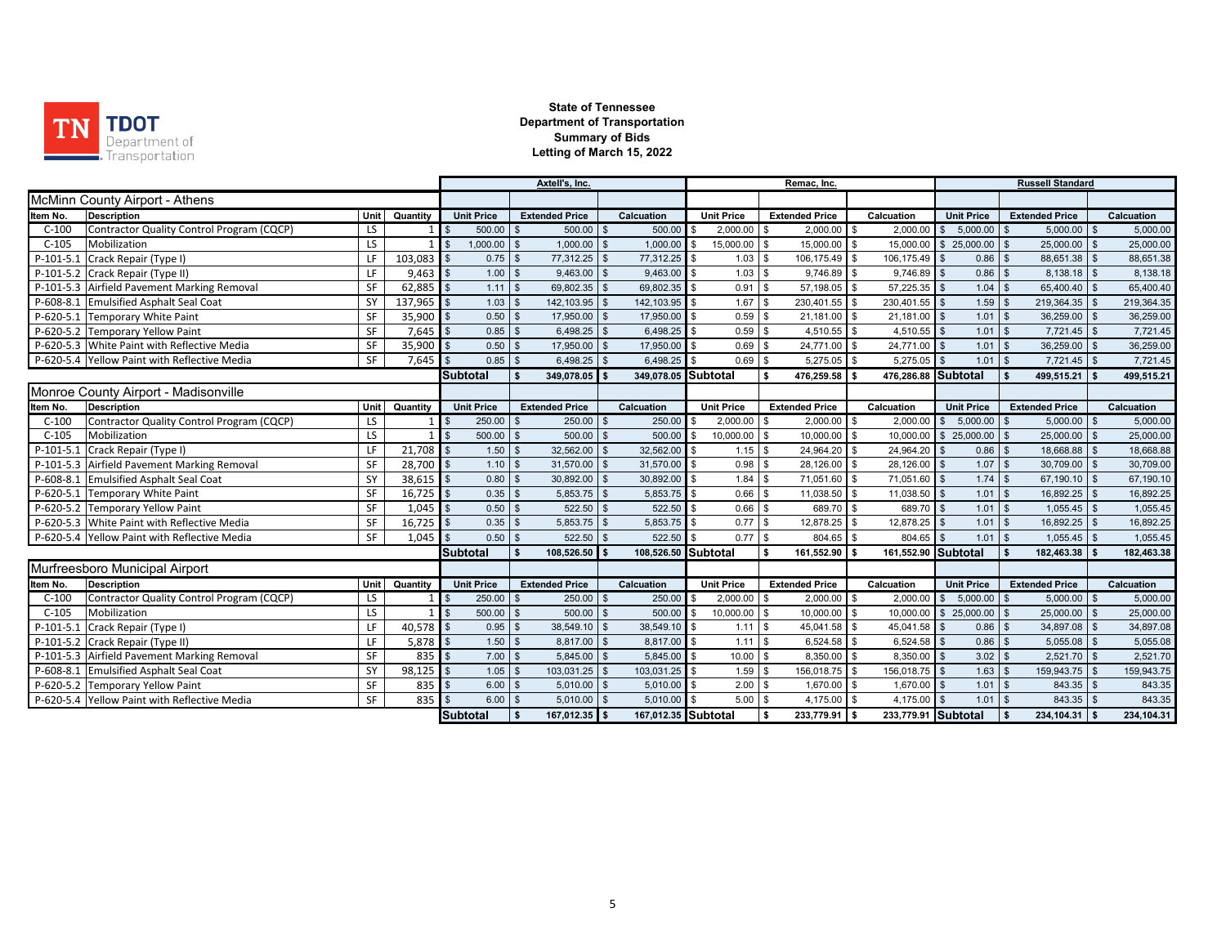

|                                                      |      |             |                                 |                    | Axtell's, Inc.        |                |                     | Remac, Inc.    |                   |                               |              |                     |                    | <b>Russell Standard</b> |               |                       |                |            |  |
|------------------------------------------------------|------|-------------|---------------------------------|--------------------|-----------------------|----------------|---------------------|----------------|-------------------|-------------------------------|--------------|---------------------|--------------------|-------------------------|---------------|-----------------------|----------------|------------|--|
| McMinn County Airport - Athens                       |      |             |                                 |                    |                       |                |                     |                |                   |                               |              |                     |                    |                         |               |                       |                |            |  |
| Item No.<br><b>Description</b>                       | Unit | Quantity    | <b>Unit Price</b>               |                    | <b>Extended Price</b> |                | Calcuation          |                | <b>Unit Price</b> | <b>Extended Price</b>         |              | Calcuation          |                    | <b>Unit Price</b>       |               | <b>Extended Price</b> |                | Calcuation |  |
| Contractor Quality Control Program (CQCP)<br>$C-100$ | LS   |             | 500.00                          | $\mathbf{\$}$      | 500.00                | \$             | $500.00$ \$         |                | 2,000.00          | $2,000.00$ \$<br>\$           |              | 2,000.00            |                    | $$5,000.00$ \ \$        |               | $5,000.00$ \$         |                | 5,000.00   |  |
| $C-105$<br>Mobilization                              | LS   |             | $\mathbf{I}$ s<br>1,000.00      | $\mathbf{\hat{z}}$ | 1,000.00              | $\mathfrak{L}$ | 1,000.00            | \$             | 15,000.00         | \$<br>15,000.00 \$            |              | 15,000.00           |                    | $$25,000.00$ \\$        |               | 25,000.00 \$          |                | 25,000.00  |  |
| $P-101-5.1$<br>Crack Repair (Type I)                 | LF   | 103,083     | l s<br>0.75                     | $$^{\circ}$        | 77,312.25             | \$             | 77,312.25 \$        |                | 1.03              | 106,175.49 \$<br>$\mathbf{s}$ |              | 106,175.49          |                    | $0.86$ \$               |               | 88,651.38 \$          |                | 88,651.38  |  |
| P-101-5.2 Crack Repair (Type II)                     | LF   | 9,463       | $\overline{\mathbf{S}}$<br>1.00 | \$                 | 9,463.00              | $\mathfrak{L}$ | 9,463.00            | $\mathfrak{L}$ | 1.03              | 9,746.89<br>\$                | $\sqrt{3}$   | 9,746.89            |                    | 0.86                    | $\mathbf{\$}$ | 8,138.18 \$           |                | 8,138.18   |  |
| P-101-5.3 Airfield Pavement Marking Removal          | SF   | 62,885      | $\mathbf{s}$<br>1.11            | \$                 | 69,802.35             | $\mathfrak{R}$ | 69.802.35           | \$             | 0.91              | 57,198.05<br>$\mathbf{s}$     | \$           | 57.225.35           |                    | 1.04                    | <b>S</b>      | 65,400.40             | $\mathbf{s}$   | 65,400.40  |  |
| P-608-8.1 Emulsified Asphalt Seal Coat               | SY   | 137,965     | 1.03                            |                    | 142,103.95            |                | 142,103.95          | \$             | 1.67              | 230,401.55<br>$\mathbf{s}$    |              | 230,401.55          |                    | 1.59                    | l \$          | 219,364.35            | $\mathfrak{L}$ | 219,364.35 |  |
| P-620-5.1 Temporary White Paint                      | SF   | 35,900      | 0.50                            |                    | 17,950.00             |                | 17,950.00           |                | 0.59              | 21,181.00 \$<br>\$            |              | 21,181.00           |                    | 1.01                    |               | 36,259.00             | $\mathfrak{L}$ | 36,259.00  |  |
| P-620-5.2 Temporary Yellow Paint                     | SF   | 7,645       | 0.85                            |                    | 6,498.25              |                | 6,498.25            |                | 0.59              | $4,510.55$ \$<br>\$           |              | 4,510.55            |                    | 1.01                    | l \$          | 7,721.45              | $\mathfrak{L}$ | 7,721.45   |  |
| P-620-5.3 White Paint with Reflective Media          | SF   | 35,900      | 0.50                            |                    | 17,950.00             | $\mathfrak{s}$ | 17,950.00           |                | 0.69              | 24,771.00 \$<br>\$            |              | 24,771.00           |                    | 1.01                    | <b>S</b>      | 36,259.00             | $\mathfrak{L}$ | 36,259.00  |  |
| P-620-5.4 Yellow Paint with Reflective Media         | SF   | 7.645       | 0.85                            |                    | 6,498.25              | $\mathbf{R}$   | 6,498.25            |                | 0.69              | $5,275.05$ \$<br>\$           |              | 5,275.05            |                    | 1.01                    | l \$          | 7,721.45              | $\mathfrak{L}$ | 7,721.45   |  |
|                                                      |      |             | <b>Subtotal</b>                 |                    | 349,078.05            |                | 349,078.05 Subtotal |                |                   | 476,259.58<br>\$              | l s          | 476,286.88 Subtotal |                    |                         |               | 499,515.21            |                | 499,515.21 |  |
| Monroe County Airport - Madisonville                 |      |             |                                 |                    |                       |                |                     |                |                   |                               |              |                     |                    |                         |               |                       |                |            |  |
| <b>Description</b><br>ltem No.                       | Unit | Quantity    | <b>Unit Price</b>               |                    | <b>Extended Price</b> |                | Calcuation          |                | <b>Unit Price</b> | <b>Extended Price</b>         |              | Calcuation          |                    | <b>Unit Price</b>       |               | <b>Extended Price</b> |                | Calcuation |  |
| Contractor Quality Control Program (CQCP)<br>$C-100$ | LS   |             | 250.00<br>$\blacksquare$        | $\mathfrak{s}$     | 250.00                | $\mathfrak{s}$ | 250.00              | $\mathfrak{L}$ | 2,000.00          | <b>S</b><br>$2,000.00$ \$     |              | 2,000.00            | $\mathbf{s}$       | $5,000.00$ \$           |               | $5,000.00$ \$         |                | 5,000.00   |  |
| Mobilization<br>$C-105$                              | LS   |             | 500.00<br>$\blacksquare$        | $\mathbf{s}$       | 500.00                | $\mathfrak{L}$ | 500.00              | \$             | 10,000.00         | $\mathbf{s}$<br>10,000.00 \$  |              | 10,000.00           |                    | $$25,000.00$ \ \$       |               | 25,000.00 \$          |                | 25,000.00  |  |
| Crack Repair (Type I)<br>$P-101-5.1$                 | LF   | $21,708$ \$ | 1.50                            | \$.                | 32,562.00             | $\mathfrak{L}$ | 32,562.00           | l \$           | 1.15              | $\sqrt{3}$<br>24,964.20 \$    |              | 24,964.20           | $\mathfrak{L}$     | $0.86$ \$               |               | 18,668.88 \$          |                | 18,668.88  |  |
| P-101-5.3 Airfield Pavement Marking Removal          | SF   | 28,700      | $\overline{\mathbf{s}}$<br>1.10 | \$                 | 31,570.00             | $\mathfrak{s}$ | 31,570.00           | <b>S</b>       | 0.98              | \$<br>28,126.00 \$            |              | 28,126.00           |                    | 1.07                    | 1S            | 30,709.00 \$          |                | 30,709.00  |  |
| P-608-8.1 Emulsified Asphalt Seal Coat               | SY   | $38,615$ \$ | 0.80                            | \$                 | 30,892.00             | $\mathfrak{L}$ | 30,892.00           | $\mathfrak{L}$ | 1.84              | 71,051.60<br>\$               | <b>S</b>     | 71,051.60           |                    | $1.74$ \$               |               | 67,190.10 \$          |                | 67,190.10  |  |
| P-620-5.1 Temporary White Paint                      | SF   | $16,725$ \$ | 0.35                            | \$                 | 5,853.75              | $\mathfrak{s}$ | 5,853.75            | \$             | 0.66              | 11,038.50<br>\$               | <b>S</b>     | 11,038.50           |                    | $1.01$ \$               |               | 16,892.25             | $\mathfrak{L}$ | 16,892.25  |  |
| P-620-5.2 Temporary Yellow Paint                     | SF   | 1,045       | 0.50                            |                    | 522.50                |                | 522.50              |                | 0.66              | 689.70 \$<br>\$               |              | 689.70              |                    | 1.01                    | l \$          | 1,055.45              | $\mathfrak{L}$ | 1,055.45   |  |
| P-620-5.3 White Paint with Reflective Media          | SF   | 16,725      | 0.35<br>$\mathfrak{L}$          |                    | 5,853.75              |                | 5,853.75            |                | 0.77              | 12,878.25<br>\$               |              | 12,878.25           |                    | 1.01                    | l \$          | 16,892.25             | $\mathfrak{L}$ | 16,892.25  |  |
| P-620-5.4 Yellow Paint with Reflective Media         | SF   | 1.045       | 0.50                            |                    | 522.50                | $\mathfrak{L}$ | 522.50              |                | 0.77              | \$<br>804.65                  | $\mathbf{s}$ | 804.65              |                    | 1.01                    | $\mathbf{s}$  | 1,055.45              | $\mathfrak{L}$ | 1,055.45   |  |
|                                                      |      |             | <b>Subtotal</b>                 |                    | 108,526.50            |                | 108,526.50 Subtotal |                |                   | 161,552.90 \$<br>\$           |              | 161,552.90 Subtotal |                    |                         |               | 182,463.38            |                | 182,463.38 |  |
| Murfreesboro Municipal Airport                       |      |             |                                 |                    |                       |                |                     |                |                   |                               |              |                     |                    |                         |               |                       |                |            |  |
| <b>Description</b><br>ltem No.                       | Unit | Quantity    | <b>Unit Price</b>               |                    | <b>Extended Price</b> |                | Calcuation          |                | <b>Unit Price</b> | <b>Extended Price</b>         |              | Calcuation          |                    | <b>Unit Price</b>       |               | <b>Extended Price</b> |                | Calcuation |  |
| Contractor Quality Control Program (CQCP)<br>$C-100$ | LS   |             | 250.00<br><b>S</b>              | $\mathfrak{L}$     | 250.00                | \$             | 250.00              |                | 2,000.00          | $2,000.00$ \$<br>\$           |              | 2,000.00            |                    | $$5,000.00$ \ \$        |               | $5,000.00$ \$         |                | 5,000.00   |  |
| $C-105$<br>Mobilization                              | LS   |             | 500.00<br>$\sqrt{3}$            | \$                 | 500.00                | \$             | 500.00              | \$             | 10,000.00         | \$<br>10,000.00 \$            |              | 10,000.00           |                    | $$25,000.00$ \\$        |               | 25,000.00 \$          |                | 25,000.00  |  |
| Crack Repair (Type I)<br>$P-101-5$                   | LF   | $40,578$ \$ | 0.95                            | $\mathfrak{L}$     | 38,549.10             | $\mathfrak{L}$ | 38,549.10           | \$             | 1.11              | \$<br>45,041.58 \$            |              | 45,041.58           | $\mathbf{\hat{f}}$ | $0.86$ \$               |               | 34,897.08 \$          |                | 34,897.08  |  |
| P-101-5.2 Crack Repair (Type II)                     | LF   | 5,878       | $\overline{\mathbf{s}}$<br>1.50 | $\mathbf{s}$       | 8,817.00              | $\mathbf{s}$   | 8,817.00 \$         |                | 1.11              | $6,524.58$ \$<br>\$           |              | 6,524.58            | $\mathbf{\hat{f}}$ | $0.86$ \$               |               | $5,055.08$ \$         |                | 5,055.08   |  |
| P-101-5.3 Airfield Pavement Marking Removal          | SF   | 835         | 7.00<br>l \$                    | \$                 | 5,845.00              | $\mathfrak{L}$ | $5,845.00$ \$       |                | 10.00             | 8,350.00 \$<br>- \$           |              | 8,350.00            | $\mathbf{s}$       | $3.02$ \$               |               | $2,521.70$ \$         |                | 2,521.70   |  |
| P-608-8.1 Emulsified Asphalt Seal Coat               | SY   | 98,125      | 1.05<br>l s                     | \$                 | 103,031.25            | $\mathfrak{s}$ | 103,031.25 \$       |                | 1.59              | 156,018.75 \$<br>\$           |              | 156,018.75          | $\mathbf{\hat{f}}$ | 1.63                    | l \$          | 159,943.75 \$         |                | 159,943.75 |  |
| P-620-5.2 Temporary Yellow Paint                     | SF   | 835         | 6.00                            | \$                 | 5,010.00              | \$             | 5,010.00            | $\mathbf{s}$   | 2.00              | 1,670.00 \$<br>\$             |              | 1,670.00            |                    | $1.01$ \$               |               | 843.35 \$             |                | 843.35     |  |
| P-620-5.4 Yellow Paint with Reflective Media         | SF   | 835         | 6.00                            |                    | 5,010.00              | $\mathfrak{s}$ | 5,010.00            | \$             | 5.00              | 4,175.00<br>\$                |              | 4,175.00            |                    | $1.01$ \$               |               | 843.35                | $\mathfrak{L}$ | 843.35     |  |
|                                                      |      |             | Subtotal                        | <b>S</b>           | 167,012.35 \$         |                | 167,012.35 Subtotal |                |                   | s.<br>233,779.91 \$           |              | 233,779.91 Subtotal |                    |                         | <b>S</b>      | 234, 104.31 \$        |                | 234,104.31 |  |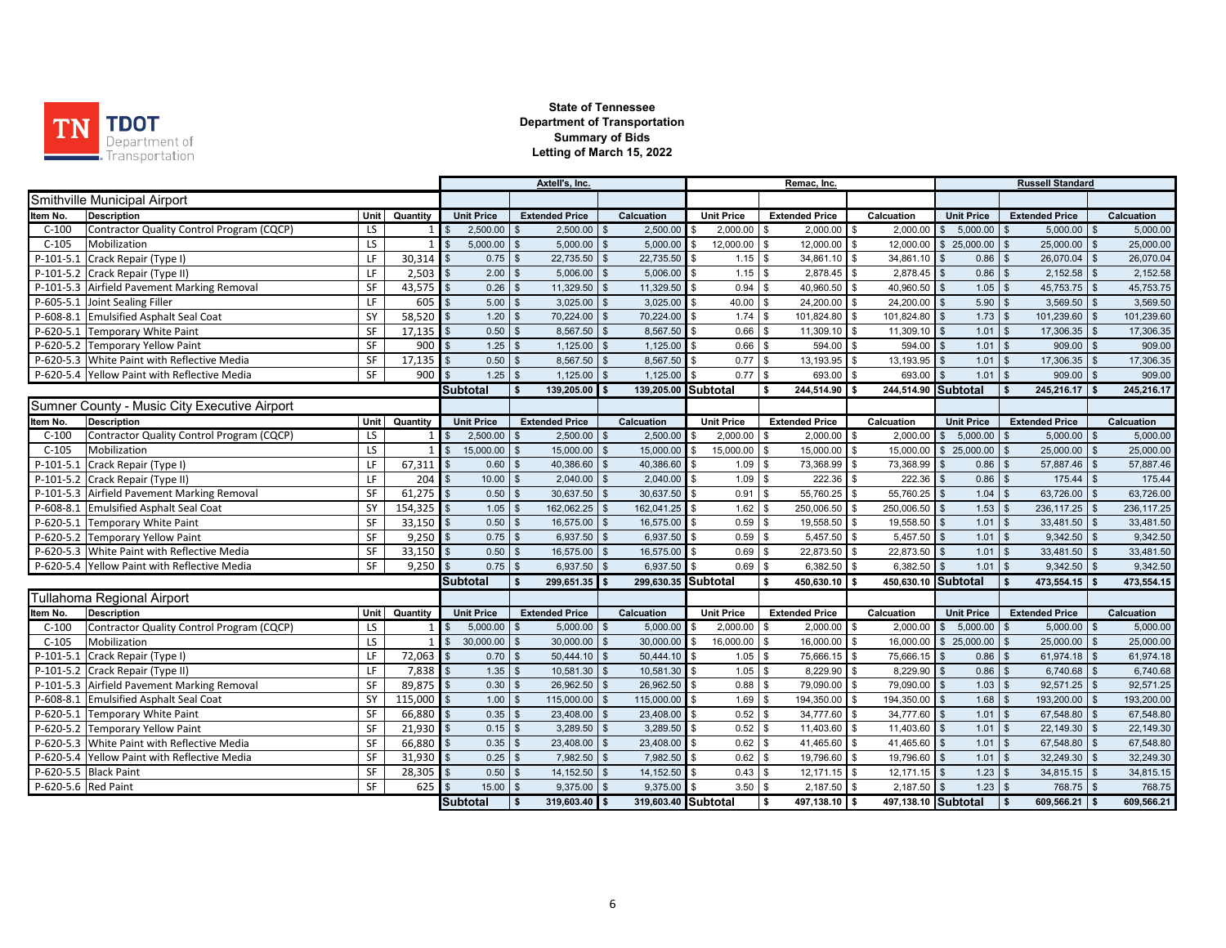

|                     |                                              | Axtell's, Inc. |                 |                |                   |                |                       | Remac, Inc.        |                     |                |                   |                                 |              | <b>Russell Standard</b> |                    |                   |                |                       |                    |            |
|---------------------|----------------------------------------------|----------------|-----------------|----------------|-------------------|----------------|-----------------------|--------------------|---------------------|----------------|-------------------|---------------------------------|--------------|-------------------------|--------------------|-------------------|----------------|-----------------------|--------------------|------------|
|                     | Smithville Municipal Airport                 |                |                 |                |                   |                |                       |                    |                     |                |                   |                                 |              |                         |                    |                   |                |                       |                    |            |
| Item No.            | <b>Description</b>                           | Unit           | Quantity        |                | <b>Unit Price</b> |                | <b>Extended Price</b> |                    | Calcuation          |                | <b>Unit Price</b> | <b>Extended Price</b>           |              | Calcuation              |                    | <b>Unit Price</b> |                | <b>Extended Price</b> |                    | Calcuation |
| $C-100$             | Contractor Quality Control Program (CQCP)    | LS             | $1\vert$        |                | 2,500.00          |                | 2,500.00              |                    | 2,500.00            |                | 2,000.00          | 2,000.00<br>\$                  | \$           | 2,000.00                | \$                 | 5,000.00          | $\sqrt{3}$     | 5,000.00              | \$                 | 5,000.00   |
| $C-105$             | Mobilization                                 | LS.            |                 | $\mathfrak{L}$ | 5,000.00          | $\mathbf{s}$   | 5,000.00              | $\mathbf{\hat{s}}$ | 5,000.00            | \$             | 12,000.00         | $\mathbf{\hat{s}}$<br>12,000.00 | \$           | 12,000.00               | \$                 | 25,000.00 \$      |                | 25,000.00 \$          |                    | 25,000.00  |
| $P-101-5.1$         | Crack Repair (Type I)                        | LF             | $30,314$ \$     |                | 0.75              | $$\mathbb{S}$$ | 22,735.50             | \$                 | 22,735.50           | \$             | 1.15              | \$<br>34,861.10                 | \$           | 34,861.10               |                    | $0.86$ \$         |                | 26,070.04 \$          |                    | 26,070.04  |
|                     | P-101-5.2 Crack Repair (Type II)             | LF             | 2,503           |                | 2.00              | \$             | 5,006.00              | $\mathfrak{s}$     | 5,006.00            |                | 1.15              | 2,878.45<br>\$                  | \$           | 2,878.45                |                    | 0.86              | $\mathbf{s}$   | 2,152.58              | $\mathbb{S}$       | 2,152.58   |
|                     | P-101-5.3 Airfield Pavement Marking Removal  | SF             | 43,575          | $\mathbf{s}$   | 0.26              | \$             | 11,329.50             | $\mathbf{f}$       | 11,329.50           | $\mathfrak{L}$ | 0.94              | 40,960.50<br>\$                 | \$           | 40,960.50               |                    | 1.05              | l \$           | 45,753.75 \$          |                    | 45,753.75  |
|                     | P-605-5.1 Joint Sealing Filler               | LF             | 605             | $\mathbf{\$}$  | 5.00              | \$             | 3,025.00              | $\mathfrak{s}$     | 3,025.00            | \$             | 40.00             | 24,200.00<br><b>S</b>           | \$           | 24,200.00               |                    | 5.90              | l \$           | 3,569.50              | $\mathfrak{s}$     | 3,569.50   |
|                     | P-608-8.1 Emulsified Asphalt Seal Coat       | SY             | 58,520          |                | 1.20              | $\mathbf{s}$   | 70,224.00             | $\mathbf{f}$       | 70,224.00           | \$             | 1.74              | 101,824.80<br>\$                | $\mathbf{s}$ | 101,824.80              |                    | 1.73              | l \$           | 101,239.60            | $\mathfrak{s}$     | 101,239.60 |
|                     | P-620-5.1 Temporary White Paint              | SF             | 17,135          | $\mathfrak{s}$ | 0.50              | \$             | 8,567.50              |                    | 8,567.50            | \$             | 0.66              | 11,309.10<br>\$                 | \$           | 11,309.10               |                    | $1.01$            | l \$           | 17,306.35             | $\mathfrak{L}$     | 17,306.35  |
|                     | P-620-5.2 Temporary Yellow Paint             | SF             | 900             |                | 1.25              | $\mathbb{S}$   | 1,125.00              | $\mathbf{s}$       | 1,125.00            | \$             | 0.66              | $\mathbf{\hat{s}}$<br>594.00    | \$           | 594.00                  |                    | $1.01$ \$         |                | 909.00                | $\mathfrak{s}$     | 909.00     |
|                     | P-620-5.3 White Paint with Reflective Media  | SF             | 17,135          | $\mathfrak{L}$ | 0.50              | $\mathbb{S}$   | 8,567.50              | $\mathbf{\hat{s}}$ | 8,567.50            | \$             | 0.77              | \$<br>13,193.95                 | $\mathbf{s}$ | 13,193.95               |                    | 1.01              | l \$           | 17,306.35             | $\mathbf{s}$       | 17,306.35  |
|                     | P-620-5.4 Yellow Paint with Reflective Media | SF             | 900             |                | 1.25              | \$             | 1,125.00              |                    | 1,125.00            |                | 0.77              | \$<br>693.00                    | \$           | 693.00                  |                    | 1.01              | $\mathfrak{L}$ | 909.00                |                    | 909.00     |
|                     |                                              |                |                 |                | <b>Subtotal</b>   | \$             | 139,205.00            |                    | 139,205.00 Subtotal |                |                   | 244,514.90<br>\$                | \$           | 244,514.90 Subtotal     |                    |                   | - \$           | 245,216.17            |                    | 245,216.17 |
|                     | Sumner County - Music City Executive Airport |                |                 |                |                   |                |                       |                    |                     |                |                   |                                 |              |                         |                    |                   |                |                       |                    |            |
| Item No.            | <b>Description</b>                           | Unit           | Quantity        |                | <b>Unit Price</b> |                | <b>Extended Price</b> |                    | Calcuation          |                | <b>Unit Price</b> | <b>Extended Price</b>           |              | Calcuation              |                    | <b>Unit Price</b> |                | <b>Extended Price</b> |                    | Calcuation |
| $C-100$             | Contractor Quality Control Program (CQCP)    | LS.            | $1\overline{ }$ | \$             | 2,500.00          | \$             | 2,500.00              | \$                 | 2,500.00            | <b>S</b>       | 2,000.00          | $2,000.00$ \$<br>\$             |              | 2,000.00                | $\mathbf{\hat{f}}$ | 5,000.00          | $\mathbf{s}$   | $5,000.00$ \$         |                    | 5,000.00   |
| $C-105$             | Mobilization                                 | LS             | 1 <sup>1</sup>  | $\mathbb{S}$   | 15,000.00         | $\mathbb{S}$   | 15,000.00             |                    | 15,000.00           | \$             | 15,000.00         | $\mathfrak s$<br>15,000.00      | \$           | 15,000.00               | \$                 | 25,000.00         | $\sqrt{3}$     | 25,000.00             | $\mathfrak s$      | 25,000.00  |
| $P-101-5.1$         | Crack Repair (Type I)                        | LF             | 67,311          | $\mathfrak{L}$ | 0.60              | $\mathbf{s}$   | 40,386.60             | $\mathbf{\$}$      | 40,386.60           | \$             | 1.09              | $\mathbf{\hat{s}}$<br>73,368.99 | \$           | 73,368.99               |                    | $0.86$ \$         |                | 57,887.46             | $\mathbb{S}$       | 57,887.46  |
|                     | P-101-5.2 Crack Repair (Type II)             | LF             | 204             | $\mathfrak{s}$ | 10.00             | $\mathbf{s}$   | 2,040.00              | $\mathbf{s}$       | 2,040.00            | \$             | 1.09              | 222.36<br>\$                    | \$           | 222.36                  |                    | $0.86$ \$         |                | 175.44                | $\mathfrak{s}$     | 175.44     |
|                     | P-101-5.3 Airfield Pavement Marking Removal  | SF             | 61,275          | \$             | 0.50              | \$             | 30,637.50             | - \$               | 30,637.50           | \$             | 0.91              | 55,760.25<br>\$                 | \$           | 55,760.25               |                    | $1.04$ \$         |                | 63,726.00 \$          |                    | 63,726.00  |
|                     | P-608-8.1 Emulsified Asphalt Seal Coat       | SY             | $154,325$ \$    |                | 1.05              | $\mathbb{S}$   | 162,062.25            | - \$               | 162,041.25 \$       |                | 1.62              | 250,006.50<br>\$                | \$           | 250,006.50              |                    | 1.53              | l \$           | $236,117.25$ \$       |                    | 236,117.25 |
|                     | P-620-5.1 Temporary White Paint              | SF             | 33,150          | $\mathbf{\$}$  | 0.50              | $\mathfrak s$  | 16,575.00             | - \$               | 16,575.00           | $\mathfrak s$  | 0.59              | $\mathfrak s$<br>19,558.50      | \$           | 19,558.50               |                    | 1.01              | 1S             | 33,481.50 \$          |                    | 33,481.50  |
|                     | P-620-5.2 Temporary Yellow Paint             | SF             | 9,250           | \$             | 0.75              | $\mathfrak s$  | 6,937.50              | \$                 | 6,937.50            | \$             | 0.59              | 5,457.50<br>\$                  | $\sqrt{3}$   | 5,457.50                |                    | $1.01$ \$         |                | 9,342.50              | $\mathbb{S}$       | 9,342.50   |
|                     | P-620-5.3 White Paint with Reflective Media  | SF             | 33,150          |                | 0.50              | $\mathfrak{L}$ | 16,575.00             |                    | 16,575.00           | \$.            | 0.69              | 22,873.50<br>- \$               | \$           | 22,873.50               |                    | 1.01              | l \$           | 33,481.50             | $\mathbf{\hat{f}}$ | 33,481.50  |
|                     | P-620-5.4 Yellow Paint with Reflective Media | SF             | 9,250           |                | 0.75              | $\mathfrak{S}$ | 6,937.50              | \$                 | 6,937.50            |                | 0.69              | $\mathbf{\hat{s}}$<br>6,382.50  | \$           | 6,382.50                |                    | 1.01              |                | 9,342.50              |                    | 9,342.50   |
|                     |                                              |                |                 |                | <b>Subtotal</b>   | $\mathbf{s}$   | 299,651.35            |                    | 299,630.35 Subtotal |                |                   | \$<br>450,630.10                |              | 450,630.10 Subtotal     |                    |                   |                | 473,554.15            |                    | 473,554.15 |
|                     | Tullahoma Regional Airport                   |                |                 |                |                   |                |                       |                    |                     |                |                   |                                 |              |                         |                    |                   |                |                       |                    |            |
| Item No.            | <b>Description</b>                           | Unit           | Quantity        |                | <b>Unit Price</b> |                | <b>Extended Price</b> |                    | Calcuation          |                | <b>Unit Price</b> | <b>Extended Price</b>           |              | Calcuation              |                    | <b>Unit Price</b> |                | <b>Extended Price</b> |                    | Calcuation |
| $C-100$             | Contractor Quality Control Program (CQCP)    | LS             |                 | $1$ s          | 5,000.00          |                | 5,000.00              | \$                 | 5,000.00            |                | 2,000.00          | 2,000.00<br>\$                  | \$           | 2,000.00                | \$                 | 5,000.00          | l \$           | 5,000.00              | $\mathbf{s}$       | 5,000.00   |
| $C-105$             | Mobilization                                 | LS             |                 | $\mathbb{S}$   | 30,000.00         | \$             | 30,000.00             | $\frac{1}{2}$      | 30,000.00           |                | 16,000.00         | \$<br>16,000.00                 | \$           | 16,000.00               |                    | $$25,000.00$ \\$  |                | $25,000.00$ \$        |                    | 25,000.00  |
| $P-101-5.1$         | Crack Repair (Type I)                        | LF             | 72,063          | \$             | 0.70              | $$\mathbb{S}$$ | 50,444.10             | \$                 | 50,444.10           | \$             | 1.05              | 75,666.15 \$<br>\$              |              | 75,666.15               |                    | $0.86$ \$         |                | $61,974.18$ \$        |                    | 61,974.18  |
|                     | P-101-5.2 Crack Repair (Type II)             | LF             | 7,838           | l \$           | 1.35              | $\mathbf{s}$   | 10,581.30             | $\mathbf{f}$       | 10,581.30           | \$             | 1.05              | 8,229.90<br>\$                  | \$           | 8,229.90                |                    | $0.86$ \$         |                | 6,740.68 \$           |                    | 6,740.68   |
|                     | P-101-5.3 Airfield Pavement Marking Removal  | SF             | 89,875          | $\mathbf{\$}$  | 0.30              | $\mathbb{S}$   | 26,962.50             | -96                | 26,962.50           | \$             | 0.88              | 79,090.00<br>\$                 | \$           | 79,090.00               |                    | $1.03$ \$         |                | 92,571.25             | $\mathfrak{s}$     | 92,571.25  |
|                     | P-608-8.1 Emulsified Asphalt Seal Coat       | SY             | 115,000         | $\mathfrak{L}$ | 1.00              | \$             | 115,000.00            |                    | 115,000.00          | \$             | 1.69              | 194,350.00<br>\$                | \$           | 194,350.00              |                    | $1.68$ \$         |                | 193,200.00            | l \$               | 193,200.00 |
|                     | P-620-5.1 Temporary White Paint              | SF             | 66,880          | $\mathbf{\$}$  | 0.35              | $\mathfrak{s}$ | 23,408.00             |                    | 23,408.00           | \$             | 0.52              | 34,777.60<br>\$                 | \$           | 34,777.60               |                    | 1.01              | l \$           | 67,548.80             | $\mathfrak{s}$     | 67,548.80  |
|                     | P-620-5.2 Temporary Yellow Paint             | SF             | 21,930          | $\mathfrak{L}$ | 0.15              | $\mathbb{S}$   | 3,289.50              |                    | 3,289.50            | \$             | 0.52              | 11,403.60<br>\$                 | \$           | 11,403.60               |                    | 1.01              |                | 22,149.30             | <b>S</b>           | 22,149.30  |
|                     | P-620-5.3 White Paint with Reflective Media  | SF             | 66,880          | $\mathbf{s}$   | 0.35              | $\mathbb{S}$   | 23,408.00             |                    | 23,408.00           | l \$           | 0.62              | 41,465.60<br>\$                 | $\mathbf{s}$ | 41,465.60               |                    | 1.01              | $\mathbf{s}$   | 67,548.80 \$          |                    | 67,548.80  |
|                     | P-620-5.4 Yellow Paint with Reflective Media | SF             | 31,930          | \$             | 0.25              | $\mathfrak s$  | 7,982.50              | -96                | 7,982.50            | \$             | 0.62              | 19,796.60<br>\$                 | \$           | 19,796.60               |                    | $1.01$ \$         |                | 32,249.30 \$          |                    | 32,249.30  |
|                     | P-620-5.5 Black Paint                        | SF             | 28,305          |                | 0.50              | \$             | 14,152.50             |                    | 14,152.50           |                | 0.43              | <b>S</b><br>12,171.15           | \$           | 12,171.15               |                    | 1.23              |                | 34,815.15             | $\mathfrak{L}$     | 34,815.15  |
| P-620-5.6 Red Paint |                                              | SF             | 625             |                | 15.00             | \$             | 9,375.00              |                    | 9,375.00            |                | 3.50              | \$<br>2,187.50                  | \$           | 2,187.50                |                    | $1.23$ \$         |                | 768.75                | $\mathbf{\hat{f}}$ | 768.75     |
|                     |                                              |                |                 |                | <b>Subtotal</b>   | l \$           | 319,603.40 \$         |                    | 319,603.40 Subtotal |                |                   | \$<br>497,138.10 \$             |              | 497,138.10 Subtotal     |                    |                   | l s            | 609,566.21 \$         |                    | 609,566.21 |